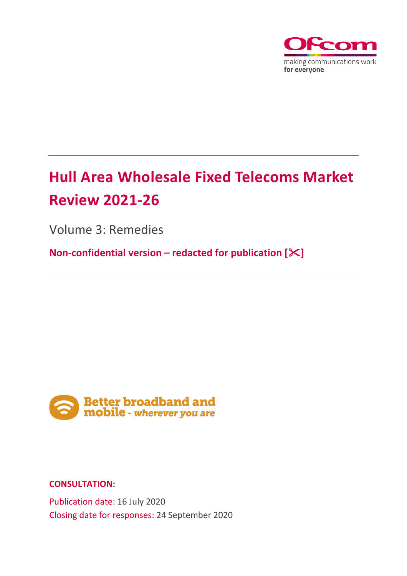

# **Hull Area Wholesale Fixed Telecoms Market Review 2021-26**

Volume 3: Remedies

**Non-confidential version – redacted for publication []** 



## **CONSULTATION:**

Publication date: 16 July 2020 Closing date for responses: 24 September 2020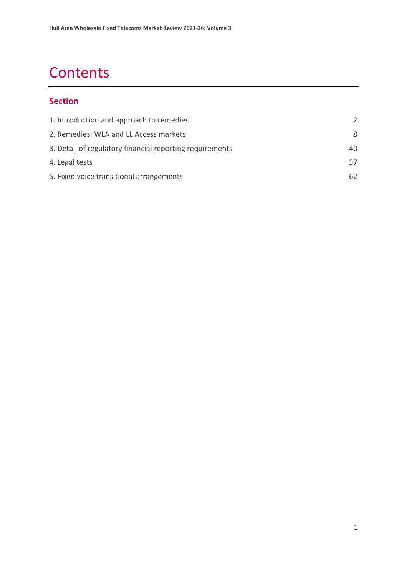# **Contents**

## **Section**

| 1. Introduction and approach to remedies                 | $\mathcal{L}$ |
|----------------------------------------------------------|---------------|
| 2. Remedies: WLA and LL Access markets                   | 8             |
| 3. Detail of regulatory financial reporting requirements | 40            |
| 4. Legal tests                                           | 57            |
| 5. Fixed voice transitional arrangements                 | 62            |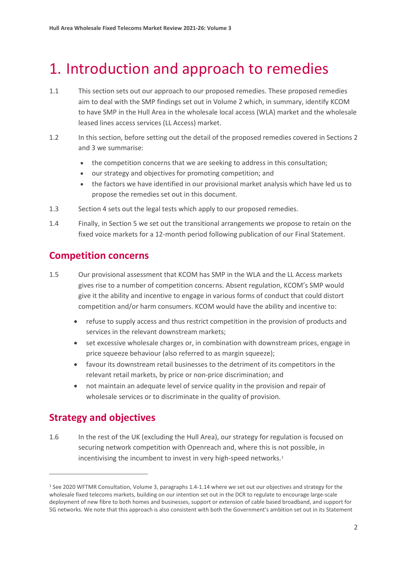# <span id="page-2-0"></span>1. Introduction and approach to remedies

- 1.1 This section sets out our approach to our proposed remedies. These proposed remedies aim to deal with the SMP findings set out in Volume 2 which, in summary, identify KCOM to have SMP in the Hull Area in the wholesale local access (WLA) market and the wholesale leased lines access services (LL Access) market.
- 1.2 In this section, before setting out the detail of the proposed remedies covered in Sections 2 and 3 we summarise:
	- the competition concerns that we are seeking to address in this consultation;
	- our strategy and objectives for promoting competition; and
	- the factors we have identified in our provisional market analysis which have led us to propose the remedies set out in this document.
- 1.3 Section 4 sets out the legal tests which apply to our proposed remedies.
- 1.4 Finally, in Section 5 we set out the transitional arrangements we propose to retain on the fixed voice markets for a 12-month period following publication of our Final Statement.

# **Competition concerns**

- 1.5 Our provisional assessment that KCOM has SMP in the WLA and the LL Access markets gives rise to a number of competition concerns. Absent regulation, KCOM's SMP would give it the ability and incentive to engage in various forms of conduct that could distort competition and/or harm consumers. KCOM would have the ability and incentive to:
	- refuse to supply access and thus restrict competition in the provision of products and services in the relevant downstream markets;
	- set excessive wholesale charges or, in combination with downstream prices, engage in price squeeze behaviour (also referred to as margin squeeze);
	- favour its downstream retail businesses to the detriment of its competitors in the relevant retail markets, by price or non-price discrimination; and
	- not maintain an adequate level of service quality in the provision and repair of wholesale services or to discriminate in the quality of provision.

# **Strategy and objectives**

1.6 In the rest of the UK (excluding the Hull Area), our strategy for regulation is focused on securing network competition with Openreach and, where this is not possible, in incentivising the incumbent to invest in very high-speed networks.<sup>[1](#page-2-1)</sup>

<span id="page-2-1"></span><sup>1</sup> See 2020 WFTMR Consultation, Volume 3, paragraphs 1.4-1.14 where we set out our objectives and strategy for the wholesale fixed telecoms markets, building on our intention set out in the DCR to regulate to encourage large-scale deployment of new fibre to both homes and businesses, support or extension of cable based broadband, and support for 5G networks. We note that this approach is also consistent with both the Government's ambition set out in its Statement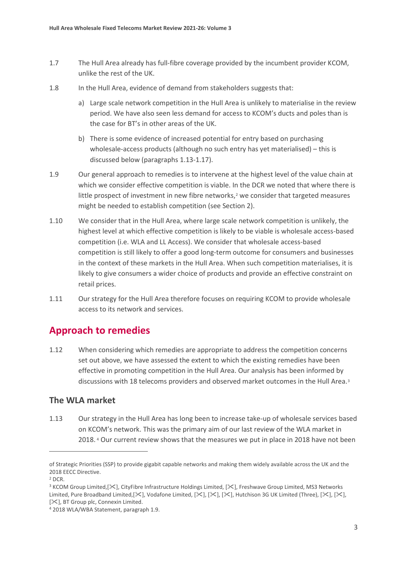- 1.7 The Hull Area already has full-fibre coverage provided by the incumbent provider KCOM, unlike the rest of the UK.
- 1.8 In the Hull Area, evidence of demand from stakeholders suggests that:
	- a) Large scale network competition in the Hull Area is unlikely to materialise in the review period. We have also seen less demand for access to KCOM's ducts and poles than is the case for BT's in other areas of the UK.
	- b) There is some evidence of increased potential for entry based on purchasing wholesale-access products (although no such entry has yet materialised) – this is discussed below (paragraphs 1.13-1.17).
- 1.9 Our general approach to remedies is to intervene at the highest level of the value chain at which we consider effective competition is viable. In the DCR we noted that where there is little prospect of investment in new fibre networks, $2$  we consider that targeted measures might be needed to establish competition (see Section 2).
- 1.10 We consider that in the Hull Area, where large scale network competition is unlikely, the highest level at which effective competition is likely to be viable is wholesale access-based competition (i.e. WLA and LL Access). We consider that wholesale access-based competition is still likely to offer a good long-term outcome for consumers and businesses in the context of these markets in the Hull Area. When such competition materialises, it is likely to give consumers a wider choice of products and provide an effective constraint on retail prices.
- 1.11 Our strategy for the Hull Area therefore focuses on requiring KCOM to provide wholesale access to its network and services.

# **Approach to remedies**

1.12 When considering which remedies are appropriate to address the competition concerns set out above, we have assessed the extent to which the existing remedies have been effective in promoting competition in the Hull Area. Our analysis has been informed by discussions with 18 telecoms providers and observed market outcomes in the Hull Area.<sup>[3](#page-3-1)</sup>

#### **The WLA market**

1.13 Our strategy in the Hull Area has long been to increase take-up of wholesale services based on KCOM's network. This was the primary aim of our last review of the WLA market in 2018. [4](#page-3-2) Our current review shows that the measures we put in place in 2018 have not been

of Strategic Priorities (SSP) to provide gigabit capable networks and making them widely available across the UK and the 2018 EECC Directive.

<span id="page-3-0"></span><sup>2</sup> DCR.

<span id="page-3-1"></span><sup>&</sup>lt;sup>3</sup> KCOM Group Limited, [ $\ll$ ], CityFibre Infrastructure Holdings Limited, [ $\ll$ ], Freshwave Group Limited, MS3 Networks Limited, Pure Broadband Limited, [ $\&$ ], Vodafone Limited, [ $\&$ ], [ $\&$ ], [ $\&$ ], Hutchison 3G UK Limited (Three), [ $\&$ ], [ $\&$ ], [ $\mathbb{K}$ ], BT Group plc, Connexin Limited.

<span id="page-3-2"></span><sup>4</sup> 2018 WLA/WBA Statement, paragraph 1.9.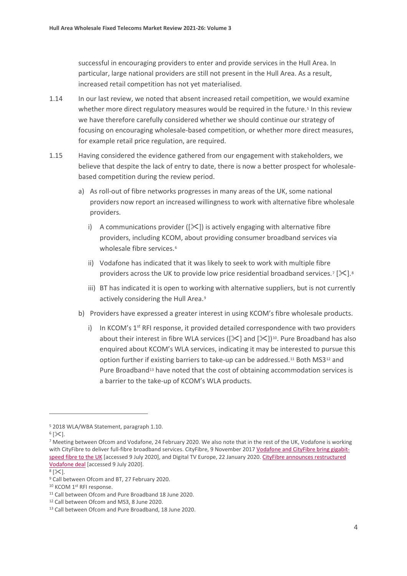successful in encouraging providers to enter and provide services in the Hull Area. In particular, large national providers are still not present in the Hull Area. As a result, increased retail competition has not yet materialised.

- 1.14 In our last review, we noted that absent increased retail competition, we would examine whether more direct regulatory measures would be required in the future.<sup>[5](#page-4-0)</sup> In this review we have therefore carefully considered whether we should continue our strategy of focusing on encouraging wholesale-based competition, or whether more direct measures, for example retail price regulation, are required.
- 1.15 Having considered the evidence gathered from our engagement with stakeholders, we believe that despite the lack of entry to date, there is now a better prospect for wholesalebased competition during the review period.
	- a) As roll-out of fibre networks progresses in many areas of the UK, some national providers now report an increased willingness to work with alternative fibre wholesale providers.
		- i) A communications provider ( $[\&$ ) is actively engaging with alternative fibre providers, including KCOM, about providing consumer broadband services via wholesale fibre services.<sup>[6](#page-4-1)</sup>
		- ii) Vodafone has indicated that it was likely to seek to work with multiple fibre providers across the UK to provide low price residential broadband services.<sup>[7](#page-4-2)</sup> [ $\geq$ ].<sup>[8](#page-4-3)</sup>
		- iii) BT has indicated it is open to working with alternative suppliers, but is not currently actively considering the Hull Area.<sup>[9](#page-4-4)</sup>
	- b) Providers have expressed a greater interest in using KCOM's fibre wholesale products.
		- i) In KCOM's  $1<sup>st</sup>$  RFI response, it provided detailed correspondence with two providers about their interest in fibre WLA services ( $[\&$ ] and  $[\&]$ )<sup>10</sup>. Pure Broadband has also enquired about KCOM's WLA services, indicating it may be interested to pursue this option further if existing barriers to take-up can be addressed.[11](#page-4-6) Both MS3[12](#page-4-7) and Pure Broadband<sup>[13](#page-4-8)</sup> have noted that the cost of obtaining accommodation services is a barrier to the take-up of KCOM's WLA products.

<span id="page-4-1"></span> $6$  [ $\&$ ].

<span id="page-4-0"></span><sup>5</sup> 2018 WLA/WBA Statement, paragraph 1.10.

<span id="page-4-2"></span><sup>7</sup> Meeting between Ofcom and Vodafone, 24 February 2020. We also note that in the rest of the UK, Vodafone is working with CityFibre to deliver full-fibre broadband services. CityFibre, 9 November 2017 [Vodafone and CityFibre bring gigabit](https://www.cityfibre.com/news/vodafone-cityfibre-bring-gigabit-speed-fibre-uk/)[speed fibre to the UK](https://www.cityfibre.com/news/vodafone-cityfibre-bring-gigabit-speed-fibre-uk/) [accessed 9 July 2020], and Digital TV Europe, 22 January 2020. CityFibre announces restructured [Vodafone deal](https://www.digitaltveurope.com/2020/01/22/cityfibre-announces-restructured-vodafone-deal-fibrenation-acquisition/) [accessed 9 July 2020].

<span id="page-4-3"></span> $8$  [ $\times$ ].

<span id="page-4-4"></span><sup>9</sup> Call between Ofcom and BT, 27 February 2020.

<span id="page-4-6"></span><span id="page-4-5"></span> $10$  KCOM  $1$ <sup>st</sup> RFI response.<br> $11$  Call between Ofcom and Pure Broadband 18 June 2020.

<span id="page-4-7"></span><sup>12</sup> Call between Ofcom and MS3, 8 June 2020.

<span id="page-4-8"></span><sup>13</sup> Call between Ofcom and Pure Broadband, 18 June 2020.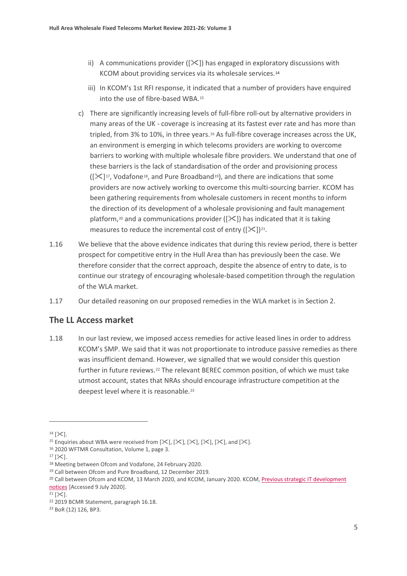- ii) A communications provider ( $[\&$ ) has engaged in exploratory discussions with KCOM about providing services via its wholesale services.[14](#page-5-0)
- iii) In KCOM's 1st RFI response, it indicated that a number of providers have enquired into the use of fibre-based WBA.[15](#page-5-1)
- c) There are significantly increasing levels of full-fibre roll-out by alternative providers in many areas of the UK - coverage is increasing at its fastest ever rate and has more than tripled, from 3% to 10%, in three years[.16](#page-5-2) As full-fibre coverage increases across the UK, an environment is emerging in which telecoms providers are working to overcome barriers to working with multiple wholesale fibre providers. We understand that one of these barriers is the lack of standardisation of the order and provisioning process  $([3117, Vodafone<sup>18</sup>, and Pure Broadband<sup>19</sup>)$  $([3117, Vodafone<sup>18</sup>, and Pure Broadband<sup>19</sup>)$  $([3117, Vodafone<sup>18</sup>, and Pure Broadband<sup>19</sup>)$  $([3117, Vodafone<sup>18</sup>, and Pure Broadband<sup>19</sup>)$  $([3117, Vodafone<sup>18</sup>, and Pure Broadband<sup>19</sup>)$ , and there are indications that some providers are now actively working to overcome this multi-sourcing barrier. KCOM has been gathering requirements from wholesale customers in recent months to inform the direction of its development of a wholesale provisioning and fault management platform,<sup>[20](#page-5-6)</sup> and a communications provider ( $[\&$ ) has indicated that it is taking measures to reduce the incremental cost of entry  $([X])^{21}$ .
- 1.16 We believe that the above evidence indicates that during this review period, there is better prospect for competitive entry in the Hull Area than has previously been the case. We therefore consider that the correct approach, despite the absence of entry to date, is to continue our strategy of encouraging wholesale-based competition through the regulation of the WLA market.
- 1.17 Our detailed reasoning on our proposed remedies in the WLA market is in Section 2.

#### **The LL Access market**

1.18 In our last review, we imposed access remedies for active leased lines in order to address KCOM's SMP. We said that it was not proportionate to introduce passive remedies as there was insufficient demand. However, we signalled that we would consider this question further in future reviews.<sup>[22](#page-5-8)</sup> The relevant BEREC common position, of which we must take utmost account, states that NRAs should encourage infrastructure competition at the deepest level where it is reasonable.[23](#page-5-9)

<span id="page-5-3"></span> $17$  [ $\times$ ].

<span id="page-5-0"></span> $14$  [ $\times$ ].

<span id="page-5-1"></span><sup>&</sup>lt;sup>15</sup> Enquiries about WBA were received from  $[\mathcal{K}]$ ,  $[\mathcal{K}]$ ,  $[\mathcal{K}]$ ,  $[\mathcal{K}]$ ,  $[\mathcal{K}]$ , and  $[\mathcal{K}]$ .

<span id="page-5-2"></span><sup>16</sup> 2020 WFTMR Consultation, Volume 1, page 3.

<span id="page-5-4"></span><sup>18</sup> Meeting between Ofcom and Vodafone, 24 February 2020.

<span id="page-5-5"></span><sup>19</sup> Call between Ofcom and Pure Broadband, 12 December 2019.

<span id="page-5-6"></span><sup>&</sup>lt;sup>20</sup> Call between Ofcom and KCOM, 13 March 2020, and KCOM, January 2020. KCOM, Previous strategic IT development [notices](https://www.kcomgroupltd.com/regulatory/kcom-wholesale/service-information/previous-notices-new-services/) [Accessed 9 July 2020].

<span id="page-5-7"></span> $21$  [ $\&$ ].

<span id="page-5-8"></span><sup>22</sup> 2019 BCMR Statement, paragraph 16.18.

<span id="page-5-9"></span><sup>23</sup> BoR (12) 126, BP3.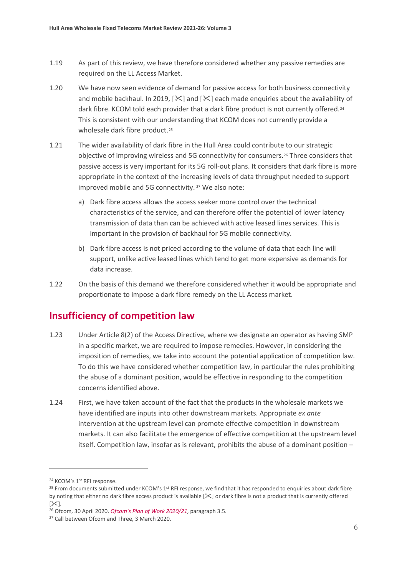- 1.19 As part of this review, we have therefore considered whether any passive remedies are required on the LL Access Market.
- 1.20 We have now seen evidence of demand for passive access for both business connectivity and mobile backhaul. In 2019,  $[\&]$  and  $[\&]$  each made enquiries about the availability of dark fibre. KCOM told each provider that a dark fibre product is not currently offered.<sup>[24](#page-6-0)</sup> This is consistent with our understanding that KCOM does not currently provide a wholesale dark fibre product.<sup>[25](#page-6-1)</sup>
- 1.21 The wider availability of dark fibre in the Hull Area could contribute to our strategic objective of improving wireless and 5G connectivity for consumers.[26](#page-6-2) Three considers that passive access is very important for its 5G roll-out plans. It considers that dark fibre is more appropriate in the context of the increasing levels of data throughput needed to support improved mobile and 5G connectivity.<sup>[27](#page-6-3)</sup> We also note:
	- a) Dark fibre access allows the access seeker more control over the technical characteristics of the service, and can therefore offer the potential of lower latency transmission of data than can be achieved with active leased lines services. This is important in the provision of backhaul for 5G mobile connectivity.
	- b) Dark fibre access is not priced according to the volume of data that each line will support, unlike active leased lines which tend to get more expensive as demands for data increase.
- 1.22 On the basis of this demand we therefore considered whether it would be appropriate and proportionate to impose a dark fibre remedy on the LL Access market.

# **Insufficiency of competition law**

- 1.23 Under Article 8(2) of the Access Directive, where we designate an operator as having SMP in a specific market, we are required to impose remedies. However, in considering the imposition of remedies, we take into account the potential application of competition law. To do this we have considered whether competition law, in particular the rules prohibiting the abuse of a dominant position, would be effective in responding to the competition concerns identified above.
- 1.24 First, we have taken account of the fact that the products in the wholesale markets we have identified are inputs into other downstream markets. Appropriate *ex ante* intervention at the upstream level can promote effective competition in downstream markets. It can also facilitate the emergence of effective competition at the upstream level itself. Competition law, insofar as is relevant, prohibits the abuse of a dominant position –

<span id="page-6-0"></span><sup>&</sup>lt;sup>24</sup> KCOM's 1<sup>st</sup> RFI response.

<span id="page-6-1"></span> $25$  From documents submitted under KCOM's 1st RFI response, we find that it has responded to enquiries about dark fibre by noting that either no dark fibre access product is available  $[\times]$  or dark fibre is not a product that is currently offered  $[\times]$ .

<span id="page-6-2"></span><sup>26</sup> Ofcom, 30 April 2020. *[Ofcom's Plan of Work 2020/21](https://www.ofcom.org.uk/__data/assets/pdf_file/0029/194753/statement-ofcom-plan-of-work-2020-21.pdf)*, paragraph 3.5.

<span id="page-6-3"></span><sup>27</sup> Call between Ofcom and Three, 3 March 2020.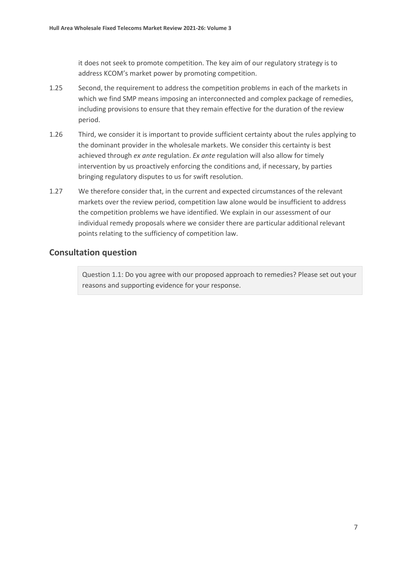it does not seek to promote competition. The key aim of our regulatory strategy is to address KCOM's market power by promoting competition.

- 1.25 Second, the requirement to address the competition problems in each of the markets in which we find SMP means imposing an interconnected and complex package of remedies, including provisions to ensure that they remain effective for the duration of the review period.
- 1.26 Third, we consider it is important to provide sufficient certainty about the rules applying to the dominant provider in the wholesale markets. We consider this certainty is best achieved through *ex ante* regulation. *Ex ante* regulation will also allow for timely intervention by us proactively enforcing the conditions and, if necessary, by parties bringing regulatory disputes to us for swift resolution.
- 1.27 We therefore consider that, in the current and expected circumstances of the relevant markets over the review period, competition law alone would be insufficient to address the competition problems we have identified. We explain in our assessment of our individual remedy proposals where we consider there are particular additional relevant points relating to the sufficiency of competition law.

#### **Consultation question**

Question 1.1: Do you agree with our proposed approach to remedies? Please set out your reasons and supporting evidence for your response.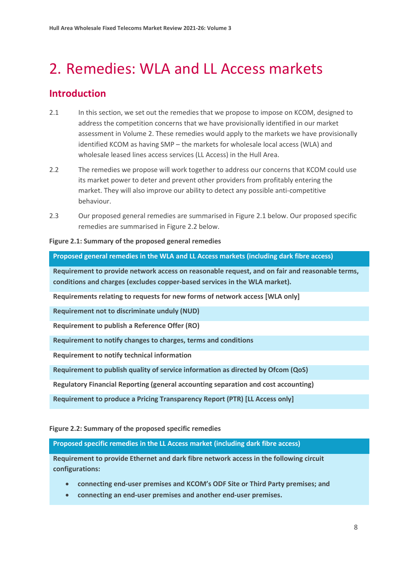# <span id="page-8-0"></span>2. Remedies: WLA and LL Access markets

# **Introduction**

- 2.1 In this section, we set out the remedies that we propose to impose on KCOM, designed to address the competition concerns that we have provisionally identified in our market assessment in Volume 2. These remedies would apply to the markets we have provisionally identified KCOM as having SMP – the markets for wholesale local access (WLA) and wholesale leased lines access services (LL Access) in the Hull Area.
- 2.2 The remedies we propose will work together to address our concerns that KCOM could use its market power to deter and prevent other providers from profitably entering the market. They will also improve our ability to detect any possible anti-competitive behaviour.
- 2.3 Our proposed general remedies are summarised in Figure 2.1 below. Our proposed specific remedies are summarised in Figure 2.2 below.

#### **Figure 2.1: Summary of the proposed general remedies**

**Proposed general remedies in the WLA and LL Access markets (including dark fibre access)**

**Requirement to provide network access on reasonable request, and on fair and reasonable terms, conditions and charges (excludes copper-based services in the WLA market).**

**Requirements relating to requests for new forms of network access [WLA only]**

**Requirement not to discriminate unduly (NUD)**

**Requirement to publish a Reference Offer (RO)**

**Requirement to notify changes to charges, terms and conditions**

**Requirement to notify technical information**

**Requirement to publish quality of service information as directed by Ofcom (QoS)**

**Regulatory Financial Reporting (general accounting separation and cost accounting)**

**Requirement to produce a Pricing Transparency Report (PTR) [LL Access only]**

#### **Figure 2.2: Summary of the proposed specific remedies**

**Proposed specific remedies in the LL Access market (including dark fibre access)**

**Requirement to provide Ethernet and dark fibre network access in the following circuit configurations:**

- **connecting end-user premises and KCOM's ODF Site or Third Party premises; and**
- **connecting an end-user premises and another end-user premises.**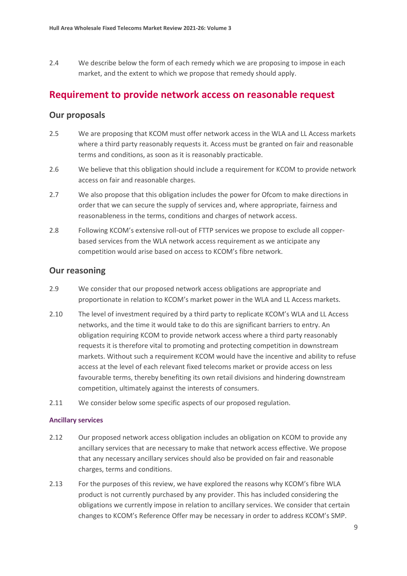2.4 We describe below the form of each remedy which we are proposing to impose in each market, and the extent to which we propose that remedy should apply.

## **Requirement to provide network access on reasonable request**

#### **Our proposals**

- 2.5 We are proposing that KCOM must offer network access in the WLA and LL Access markets where a third party reasonably requests it. Access must be granted on fair and reasonable terms and conditions, as soon as it is reasonably practicable.
- 2.6 We believe that this obligation should include a requirement for KCOM to provide network access on fair and reasonable charges.
- 2.7 We also propose that this obligation includes the power for Ofcom to make directions in order that we can secure the supply of services and, where appropriate, fairness and reasonableness in the terms, conditions and charges of network access.
- 2.8 Following KCOM's extensive roll-out of FTTP services we propose to exclude all copperbased services from the WLA network access requirement as we anticipate any competition would arise based on access to KCOM's fibre network.

#### **Our reasoning**

- 2.9 We consider that our proposed network access obligations are appropriate and proportionate in relation to KCOM's market power in the WLA and LL Access markets.
- 2.10 The level of investment required by a third party to replicate KCOM's WLA and LL Access networks, and the time it would take to do this are significant barriers to entry. An obligation requiring KCOM to provide network access where a third party reasonably requests it is therefore vital to promoting and protecting competition in downstream markets. Without such a requirement KCOM would have the incentive and ability to refuse access at the level of each relevant fixed telecoms market or provide access on less favourable terms, thereby benefiting its own retail divisions and hindering downstream competition, ultimately against the interests of consumers.
- 2.11 We consider below some specific aspects of our proposed regulation.

#### **Ancillary services**

- 2.12 Our proposed network access obligation includes an obligation on KCOM to provide any ancillary services that are necessary to make that network access effective. We propose that any necessary ancillary services should also be provided on fair and reasonable charges, terms and conditions.
- 2.13 For the purposes of this review, we have explored the reasons why KCOM's fibre WLA product is not currently purchased by any provider. This has included considering the obligations we currently impose in relation to ancillary services. We consider that certain changes to KCOM's Reference Offer may be necessary in order to address KCOM's SMP.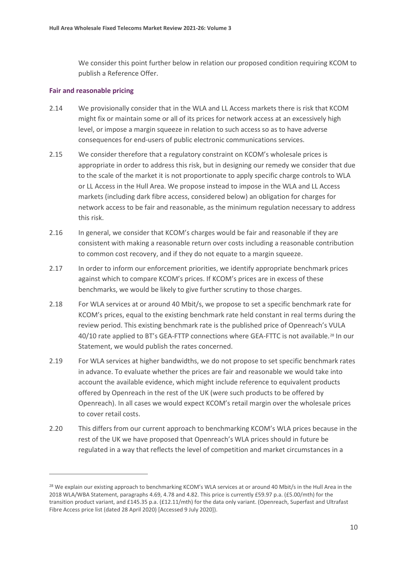We consider this point further below in relation our proposed condition requiring KCOM to publish a Reference Offer.

#### **Fair and reasonable pricing**

- 2.14 We provisionally consider that in the WLA and LL Access markets there is risk that KCOM might fix or maintain some or all of its prices for network access at an excessively high level, or impose a margin squeeze in relation to such access so as to have adverse consequences for end-users of public electronic communications services.
- 2.15 We consider therefore that a regulatory constraint on KCOM's wholesale prices is appropriate in order to address this risk, but in designing our remedy we consider that due to the scale of the market it is not proportionate to apply specific charge controls to WLA or LL Access in the Hull Area. We propose instead to impose in the WLA and LL Access markets (including dark fibre access, considered below) an obligation for charges for network access to be fair and reasonable, as the minimum regulation necessary to address this risk.
- 2.16 In general, we consider that KCOM's charges would be fair and reasonable if they are consistent with making a reasonable return over costs including a reasonable contribution to common cost recovery, and if they do not equate to a margin squeeze.
- 2.17 In order to inform our enforcement priorities, we identify appropriate benchmark prices against which to compare KCOM's prices. If KCOM's prices are in excess of these benchmarks, we would be likely to give further scrutiny to those charges.
- 2.18 For WLA services at or around 40 Mbit/s, we propose to set a specific benchmark rate for KCOM's prices, equal to the existing benchmark rate held constant in real terms during the review period. This existing benchmark rate is the published price of Openreach's VULA 40/10 rate applied to BT's GEA-FTTP connections where GEA-FTTC is not available.<sup>[28](#page-10-0)</sup> In our Statement, we would publish the rates concerned.
- 2.19 For WLA services at higher bandwidths, we do not propose to set specific benchmark rates in advance. To evaluate whether the prices are fair and reasonable we would take into account the available evidence, which might include reference to equivalent products offered by Openreach in the rest of the UK (were such products to be offered by Openreach). In all cases we would expect KCOM's retail margin over the wholesale prices to cover retail costs.
- 2.20 This differs from our current approach to benchmarking KCOM's WLA prices because in the rest of the UK we have proposed that Openreach's WLA prices should in future be regulated in a way that reflects the level of competition and market circumstances in a

<span id="page-10-0"></span><sup>&</sup>lt;sup>28</sup> We explain our existing approach to benchmarking KCOM's WLA services at or around 40 Mbit/s in the Hull Area in the 2018 WLA/WBA Statement, paragraphs 4.69, 4.78 and 4.82. This price is currently £59.97 p.a. (£5.00/mth) for the transition product variant, and £145.35 p.a. (£12.11/mth) for the data only variant. (Openreach, Superfast and Ultrafast Fibre Access price list (dated 28 April 2020) [Accessed 9 July 2020]).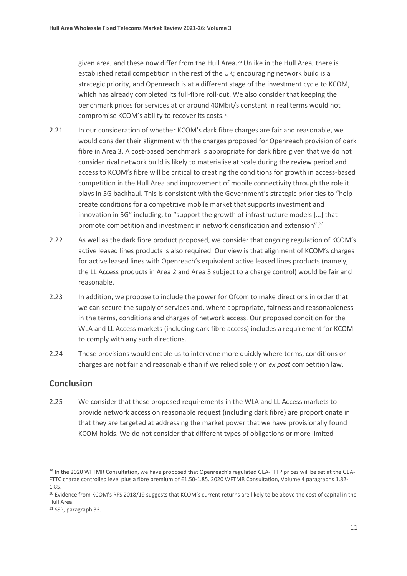given area, and these now differ from the Hull Area.<sup>[29](#page-11-0)</sup> Unlike in the Hull Area, there is established retail competition in the rest of the UK; encouraging network build is a strategic priority, and Openreach is at a different stage of the investment cycle to KCOM, which has already completed its full-fibre roll-out. We also consider that keeping the benchmark prices for services at or around 40Mbit/s constant in real terms would not compromise KCOM's ability to recover its costs.[30](#page-11-1)

- 2.21 In our consideration of whether KCOM's dark fibre charges are fair and reasonable, we would consider their alignment with the charges proposed for Openreach provision of dark fibre in Area 3. A cost-based benchmark is appropriate for dark fibre given that we do not consider rival network build is likely to materialise at scale during the review period and access to KCOM's fibre will be critical to creating the conditions for growth in access-based competition in the Hull Area and improvement of mobile connectivity through the role it plays in 5G backhaul. This is consistent with the Government's strategic priorities to "help create conditions for a competitive mobile market that supports investment and innovation in 5G" including, to "support the growth of infrastructure models […] that promote competition and investment in network densification and extension".<sup>[31](#page-11-2)</sup>
- 2.22 As well as the dark fibre product proposed, we consider that ongoing regulation of KCOM's active leased lines products is also required. Our view is that alignment of KCOM's charges for active leased lines with Openreach's equivalent active leased lines products (namely, the LL Access products in Area 2 and Area 3 subject to a charge control) would be fair and reasonable.
- 2.23 In addition, we propose to include the power for Ofcom to make directions in order that we can secure the supply of services and, where appropriate, fairness and reasonableness in the terms, conditions and charges of network access. Our proposed condition for the WLA and LL Access markets (including dark fibre access) includes a requirement for KCOM to comply with any such directions.
- 2.24 These provisions would enable us to intervene more quickly where terms, conditions or charges are not fair and reasonable than if we relied solely on *ex post* competition law.

#### **Conclusion**

2.25 We consider that these proposed requirements in the WLA and LL Access markets to provide network access on reasonable request (including dark fibre) are proportionate in that they are targeted at addressing the market power that we have provisionally found KCOM holds. We do not consider that different types of obligations or more limited

<span id="page-11-0"></span><sup>&</sup>lt;sup>29</sup> In the 2020 WFTMR Consultation, we have proposed that Openreach's regulated GEA-FTTP prices will be set at the GEA-FTTC charge controlled level plus a fibre premium of £1.50-1.85. 2020 WFTMR Consultation, Volume 4 paragraphs 1.82- 1.85.

<span id="page-11-1"></span><sup>&</sup>lt;sup>30</sup> Evidence from KCOM's RFS 2018/19 suggests that KCOM's current returns are likely to be above the cost of capital in the Hull Area.

<span id="page-11-2"></span><sup>31</sup> SSP, paragraph 33.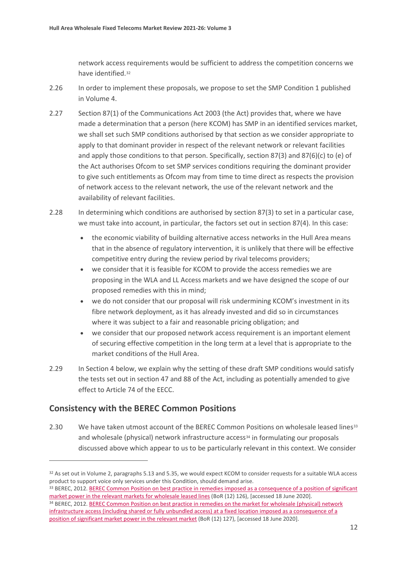network access requirements would be sufficient to address the competition concerns we have identified.[32](#page-12-0)

- 2.26 In order to implement these proposals, we propose to set the SMP Condition 1 published in Volume 4.
- 2.27 Section 87(1) of the Communications Act 2003 (the Act) provides that, where we have made a determination that a person (here KCOM) has SMP in an identified services market, we shall set such SMP conditions authorised by that section as we consider appropriate to apply to that dominant provider in respect of the relevant network or relevant facilities and apply those conditions to that person. Specifically, section 87(3) and 87(6)(c) to (e) of the Act authorises Ofcom to set SMP services conditions requiring the dominant provider to give such entitlements as Ofcom may from time to time direct as respects the provision of network access to the relevant network, the use of the relevant network and the availability of relevant facilities.
- 2.28 In determining which conditions are authorised by section 87(3) to set in a particular case, we must take into account, in particular, the factors set out in section 87(4). In this case:
	- the economic viability of building alternative access networks in the Hull Area means that in the absence of regulatory intervention, it is unlikely that there will be effective competitive entry during the review period by rival telecoms providers;
	- we consider that it is feasible for KCOM to provide the access remedies we are proposing in the WLA and LL Access markets and we have designed the scope of our proposed remedies with this in mind;
	- we do not consider that our proposal will risk undermining KCOM's investment in its fibre network deployment, as it has already invested and did so in circumstances where it was subject to a fair and reasonable pricing obligation; and
	- we consider that our proposed network access requirement is an important element of securing effective competition in the long term at a level that is appropriate to the market conditions of the Hull Area.
- 2.29 In Section 4 below, we explain why the setting of these draft SMP conditions would satisfy the tests set out in section 47 and 88 of the Act, including as potentially amended to give effect to Article 74 of the EECC.

## **Consistency with the BEREC Common Positions**

2.30 We have taken utmost account of the BEREC Common Positions on wholesale leased lines<sup>[33](#page-12-1)</sup> and wholesale (physical) network infrastructure access<sup>[34](#page-12-2)</sup> in formulating our proposals discussed above which appear to us to be particularly relevant in this context. We consider

<span id="page-12-0"></span><sup>32</sup> As set out in Volume 2, paragraphs 5.13 and 5.35, we would expect KCOM to consider requests for a suitable WLA access product to support voice only services under this Condition, should demand arise.<br><sup>33</sup> BEREC, 2012. <u>BEREC Common Position on best practice in remedies imposed as a consequence of a position of significant</u>

<span id="page-12-1"></span>[market power in the relevant markets for wholesale leased lines](https://berec.europa.eu/eng/document_register/subject_matter/berec/regulatory_best_practices/common_approaches_positions/1096-revised-berec-common-position-on-best-practices-in-remedies-as-a-consequence-of-a-smp-position-in-the-relevant-markets-for-wholesale-leased-lines) (BoR (12) 126), [accessed 18 June 2020].

<span id="page-12-2"></span><sup>34</sup> BEREC, 2012. BEREC Common Position on best practice in remedies on the market for wholesale (physical) network [infrastructure access \(including shared or fully unbundled access\) at a fixed location imposed as a consequence of a](https://berec.europa.eu/eng/document_register/subject_matter/berec/regulatory_best_practices/common_approaches_positions/1127-revised-berec-common-position-on-best-practice-in-remedies-on-the-market-for-wholesale-physical-network-infrastructure-access-including-shared-or-fully-unbundled-access-at-a-fixed-location-imposed-as-a-consequence-of-a-position-of-significant-market-power-in-the-relevant-market)  [position of significant market power in the relevant market](https://berec.europa.eu/eng/document_register/subject_matter/berec/regulatory_best_practices/common_approaches_positions/1127-revised-berec-common-position-on-best-practice-in-remedies-on-the-market-for-wholesale-physical-network-infrastructure-access-including-shared-or-fully-unbundled-access-at-a-fixed-location-imposed-as-a-consequence-of-a-position-of-significant-market-power-in-the-relevant-market) (BoR (12) 127), [accessed 18 June 2020].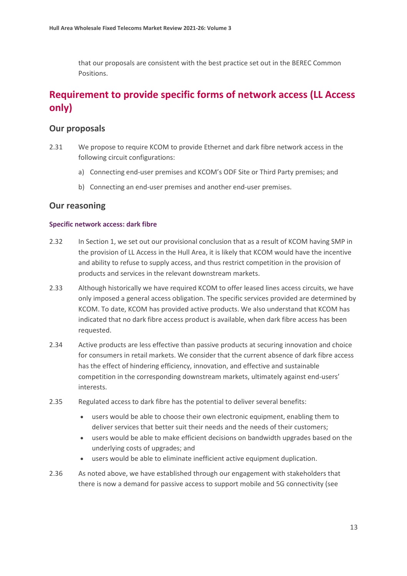that our proposals are consistent with the best practice set out in the BEREC Common Positions.

# **Requirement to provide specific forms of network access (LL Access only)**

#### **Our proposals**

- 2.31 We propose to require KCOM to provide Ethernet and dark fibre network access in the following circuit configurations:
	- a) Connecting end-user premises and KCOM's ODF Site or Third Party premises; and
	- b) Connecting an end-user premises and another end-user premises.

#### **Our reasoning**

#### **Specific network access: dark fibre**

- 2.32 In Section 1, we set out our provisional conclusion that as a result of KCOM having SMP in the provision of LL Access in the Hull Area, it is likely that KCOM would have the incentive and ability to refuse to supply access, and thus restrict competition in the provision of products and services in the relevant downstream markets.
- 2.33 Although historically we have required KCOM to offer leased lines access circuits, we have only imposed a general access obligation. The specific services provided are determined by KCOM. To date, KCOM has provided active products. We also understand that KCOM has indicated that no dark fibre access product is available, when dark fibre access has been requested.
- 2.34 Active products are less effective than passive products at securing innovation and choice for consumers in retail markets. We consider that the current absence of dark fibre access has the effect of hindering efficiency, innovation, and effective and sustainable competition in the corresponding downstream markets, ultimately against end-users' interests.
- 2.35 Regulated access to dark fibre has the potential to deliver several benefits:
	- users would be able to choose their own electronic equipment, enabling them to deliver services that better suit their needs and the needs of their customers;
	- users would be able to make efficient decisions on bandwidth upgrades based on the underlying costs of upgrades; and
	- users would be able to eliminate inefficient active equipment duplication.
- 2.36 As noted above, we have established through our engagement with stakeholders that there is now a demand for passive access to support mobile and 5G connectivity (see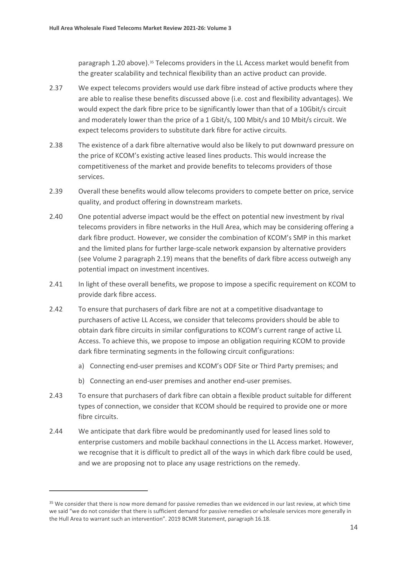paragraph 1.20 above).<sup>[35](#page-14-0)</sup> Telecoms providers in the LL Access market would benefit from the greater scalability and technical flexibility than an active product can provide.

- 2.37 We expect telecoms providers would use dark fibre instead of active products where they are able to realise these benefits discussed above (i.e. cost and flexibility advantages). We would expect the dark fibre price to be significantly lower than that of a 10Gbit/s circuit and moderately lower than the price of a 1 Gbit/s, 100 Mbit/s and 10 Mbit/s circuit. We expect telecoms providers to substitute dark fibre for active circuits.
- 2.38 The existence of a dark fibre alternative would also be likely to put downward pressure on the price of KCOM's existing active leased lines products. This would increase the competitiveness of the market and provide benefits to telecoms providers of those services.
- 2.39 Overall these benefits would allow telecoms providers to compete better on price, service quality, and product offering in downstream markets.
- 2.40 One potential adverse impact would be the effect on potential new investment by rival telecoms providers in fibre networks in the Hull Area, which may be considering offering a dark fibre product. However, we consider the combination of KCOM's SMP in this market and the limited plans for further large-scale network expansion by alternative providers (see Volume 2 paragraph 2.19) means that the benefits of dark fibre access outweigh any potential impact on investment incentives.
- 2.41 In light of these overall benefits, we propose to impose a specific requirement on KCOM to provide dark fibre access.
- 2.42 To ensure that purchasers of dark fibre are not at a competitive disadvantage to purchasers of active LL Access, we consider that telecoms providers should be able to obtain dark fibre circuits in similar configurations to KCOM's current range of active LL Access. To achieve this, we propose to impose an obligation requiring KCOM to provide dark fibre terminating segments in the following circuit configurations:
	- a) Connecting end-user premises and KCOM's ODF Site or Third Party premises; and
	- b) Connecting an end-user premises and another end-user premises.
- 2.43 To ensure that purchasers of dark fibre can obtain a flexible product suitable for different types of connection, we consider that KCOM should be required to provide one or more fibre circuits.
- 2.44 We anticipate that dark fibre would be predominantly used for leased lines sold to enterprise customers and mobile backhaul connections in the LL Access market. However, we recognise that it is difficult to predict all of the ways in which dark fibre could be used, and we are proposing not to place any usage restrictions on the remedy.

<span id="page-14-0"></span><sup>&</sup>lt;sup>35</sup> We consider that there is now more demand for passive remedies than we evidenced in our last review, at which time we said "we do not consider that there is sufficient demand for passive remedies or wholesale services more generally in the Hull Area to warrant such an intervention". 2019 BCMR Statement, paragraph 16.18.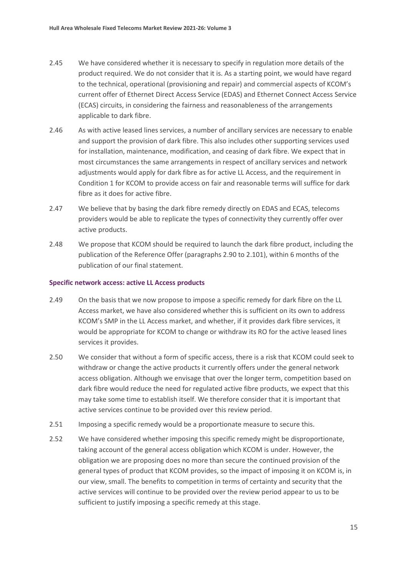- 2.45 We have considered whether it is necessary to specify in regulation more details of the product required. We do not consider that it is. As a starting point, we would have regard to the technical, operational (provisioning and repair) and commercial aspects of KCOM's current offer of Ethernet Direct Access Service (EDAS) and Ethernet Connect Access Service (ECAS) circuits, in considering the fairness and reasonableness of the arrangements applicable to dark fibre.
- 2.46 As with active leased lines services, a number of ancillary services are necessary to enable and support the provision of dark fibre. This also includes other supporting services used for installation, maintenance, modification, and ceasing of dark fibre. We expect that in most circumstances the same arrangements in respect of ancillary services and network adjustments would apply for dark fibre as for active LL Access, and the requirement in Condition 1 for KCOM to provide access on fair and reasonable terms will suffice for dark fibre as it does for active fibre.
- 2.47 We believe that by basing the dark fibre remedy directly on EDAS and ECAS, telecoms providers would be able to replicate the types of connectivity they currently offer over active products.
- 2.48 We propose that KCOM should be required to launch the dark fibre product, including the publication of the Reference Offer (paragraphs 2.90 to 2.101), within 6 months of the publication of our final statement.

#### **Specific network access: active LL Access products**

- 2.49 On the basis that we now propose to impose a specific remedy for dark fibre on the LL Access market, we have also considered whether this is sufficient on its own to address KCOM's SMP in the LL Access market, and whether, if it provides dark fibre services, it would be appropriate for KCOM to change or withdraw its RO for the active leased lines services it provides.
- 2.50 We consider that without a form of specific access, there is a risk that KCOM could seek to withdraw or change the active products it currently offers under the general network access obligation. Although we envisage that over the longer term, competition based on dark fibre would reduce the need for regulated active fibre products, we expect that this may take some time to establish itself. We therefore consider that it is important that active services continue to be provided over this review period.
- 2.51 Imposing a specific remedy would be a proportionate measure to secure this.
- 2.52 We have considered whether imposing this specific remedy might be disproportionate, taking account of the general access obligation which KCOM is under. However, the obligation we are proposing does no more than secure the continued provision of the general types of product that KCOM provides, so the impact of imposing it on KCOM is, in our view, small. The benefits to competition in terms of certainty and security that the active services will continue to be provided over the review period appear to us to be sufficient to justify imposing a specific remedy at this stage.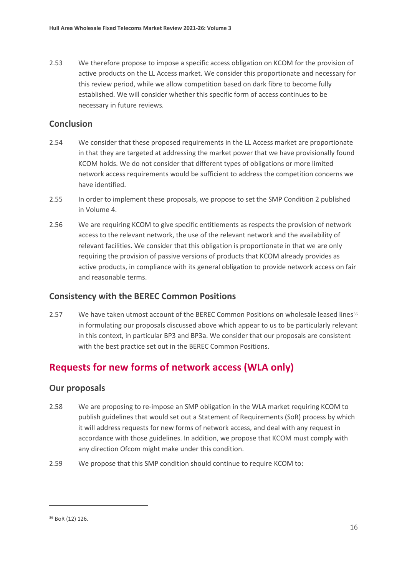2.53 We therefore propose to impose a specific access obligation on KCOM for the provision of active products on the LL Access market. We consider this proportionate and necessary for this review period, while we allow competition based on dark fibre to become fully established. We will consider whether this specific form of access continues to be necessary in future reviews.

## **Conclusion**

- 2.54 We consider that these proposed requirements in the LL Access market are proportionate in that they are targeted at addressing the market power that we have provisionally found KCOM holds. We do not consider that different types of obligations or more limited network access requirements would be sufficient to address the competition concerns we have identified.
- 2.55 In order to implement these proposals, we propose to set the SMP Condition 2 published in Volume 4.
- 2.56 We are requiring KCOM to give specific entitlements as respects the provision of network access to the relevant network, the use of the relevant network and the availability of relevant facilities. We consider that this obligation is proportionate in that we are only requiring the provision of passive versions of products that KCOM already provides as active products, in compliance with its general obligation to provide network access on fair and reasonable terms.

## **Consistency with the BEREC Common Positions**

2.57 We have taken utmost account of the BEREC Common Positions on wholesale leased lines<sup>[36](#page-16-0)</sup> in formulating our proposals discussed above which appear to us to be particularly relevant in this context, in particular BP3 and BP3a. We consider that our proposals are consistent with the best practice set out in the BEREC Common Positions.

# **Requests for new forms of network access (WLA only)**

#### **Our proposals**

- 2.58 We are proposing to re-impose an SMP obligation in the WLA market requiring KCOM to publish guidelines that would set out a Statement of Requirements (SoR) process by which it will address requests for new forms of network access, and deal with any request in accordance with those guidelines. In addition, we propose that KCOM must comply with any direction Ofcom might make under this condition.
- 2.59 We propose that this SMP condition should continue to require KCOM to:

<span id="page-16-0"></span><sup>36</sup> BoR (12) 126.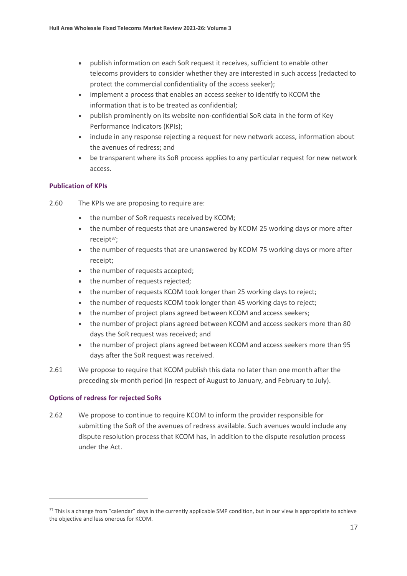- publish information on each SoR request it receives, sufficient to enable other telecoms providers to consider whether they are interested in such access (redacted to protect the commercial confidentiality of the access seeker);
- implement a process that enables an access seeker to identify to KCOM the information that is to be treated as confidential;
- publish prominently on its website non-confidential SoR data in the form of Key Performance Indicators (KPIs);
- include in any response rejecting a request for new network access, information about the avenues of redress; and
- be transparent where its SoR process applies to any particular request for new network access.

#### **Publication of KPIs**

- 2.60 The KPIs we are proposing to require are:
	- the number of SoR requests received by KCOM;
	- the number of requests that are unanswered by KCOM 25 working days or more after receip[t37](#page-17-0);
	- the number of requests that are unanswered by KCOM 75 working days or more after receipt;
	- the number of requests accepted;
	- the number of requests rejected;
	- the number of requests KCOM took longer than 25 working days to reject;
	- the number of requests KCOM took longer than 45 working days to reject;
	- the number of project plans agreed between KCOM and access seekers;
	- the number of project plans agreed between KCOM and access seekers more than 80 days the SoR request was received; and
	- the number of project plans agreed between KCOM and access seekers more than 95 days after the SoR request was received.
- 2.61 We propose to require that KCOM publish this data no later than one month after the preceding six-month period (in respect of August to January, and February to July).

#### **Options of redress for rejected SoRs**

2.62 We propose to continue to require KCOM to inform the provider responsible for submitting the SoR of the avenues of redress available. Such avenues would include any dispute resolution process that KCOM has, in addition to the dispute resolution process under the Act.

<span id="page-17-0"></span><sup>&</sup>lt;sup>37</sup> This is a change from "calendar" days in the currently applicable SMP condition, but in our view is appropriate to achieve the objective and less onerous for KCOM.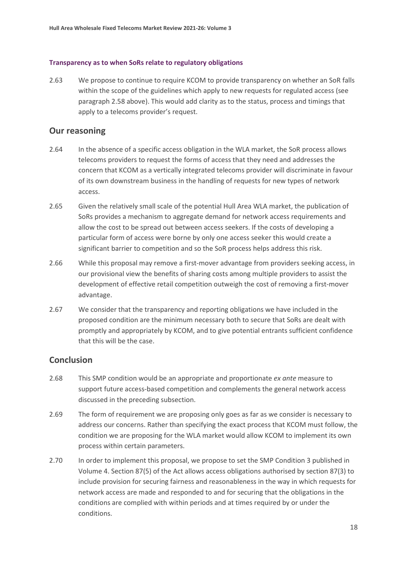#### **Transparency as to when SoRs relate to regulatory obligations**

2.63 We propose to continue to require KCOM to provide transparency on whether an SoR falls within the scope of the guidelines which apply to new requests for regulated access (see paragraph 2.58 above). This would add clarity as to the status, process and timings that apply to a telecoms provider's request.

#### **Our reasoning**

- 2.64 In the absence of a specific access obligation in the WLA market, the SoR process allows telecoms providers to request the forms of access that they need and addresses the concern that KCOM as a vertically integrated telecoms provider will discriminate in favour of its own downstream business in the handling of requests for new types of network access.
- 2.65 Given the relatively small scale of the potential Hull Area WLA market, the publication of SoRs provides a mechanism to aggregate demand for network access requirements and allow the cost to be spread out between access seekers. If the costs of developing a particular form of access were borne by only one access seeker this would create a significant barrier to competition and so the SoR process helps address this risk.
- 2.66 While this proposal may remove a first-mover advantage from providers seeking access, in our provisional view the benefits of sharing costs among multiple providers to assist the development of effective retail competition outweigh the cost of removing a first-mover advantage.
- 2.67 We consider that the transparency and reporting obligations we have included in the proposed condition are the minimum necessary both to secure that SoRs are dealt with promptly and appropriately by KCOM, and to give potential entrants sufficient confidence that this will be the case.

#### **Conclusion**

- 2.68 This SMP condition would be an appropriate and proportionate *ex ante* measure to support future access-based competition and complements the general network access discussed in the preceding subsection.
- 2.69 The form of requirement we are proposing only goes as far as we consider is necessary to address our concerns. Rather than specifying the exact process that KCOM must follow, the condition we are proposing for the WLA market would allow KCOM to implement its own process within certain parameters.
- 2.70 In order to implement this proposal, we propose to set the SMP Condition 3 published in Volume 4. Section 87(5) of the Act allows access obligations authorised by section 87(3) to include provision for securing fairness and reasonableness in the way in which requests for network access are made and responded to and for securing that the obligations in the conditions are complied with within periods and at times required by or under the conditions.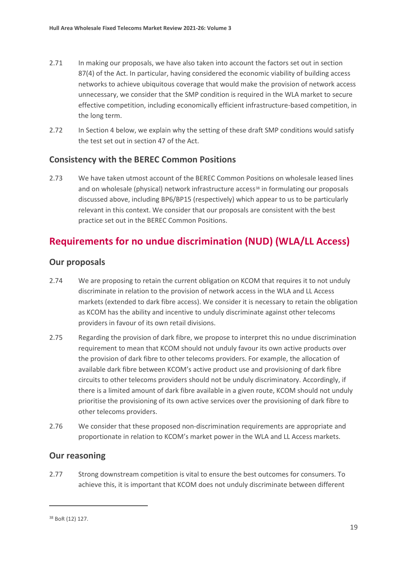- 2.71 In making our proposals, we have also taken into account the factors set out in section 87(4) of the Act. In particular, having considered the economic viability of building access networks to achieve ubiquitous coverage that would make the provision of network access unnecessary, we consider that the SMP condition is required in the WLA market to secure effective competition, including economically efficient infrastructure-based competition, in the long term.
- 2.72 In Section 4 below, we explain why the setting of these draft SMP conditions would satisfy the test set out in section 47 of the Act.

## **Consistency with the BEREC Common Positions**

2.73 We have taken utmost account of the BEREC Common Positions on wholesale leased lines and on wholesale (physical) network infrastructure access<sup>[38](#page-19-0)</sup> in formulating our proposals discussed above, including BP6/BP15 (respectively) which appear to us to be particularly relevant in this context. We consider that our proposals are consistent with the best practice set out in the BEREC Common Positions.

# **Requirements for no undue discrimination (NUD) (WLA/LL Access)**

#### **Our proposals**

- 2.74 We are proposing to retain the current obligation on KCOM that requires it to not unduly discriminate in relation to the provision of network access in the WLA and LL Access markets (extended to dark fibre access). We consider it is necessary to retain the obligation as KCOM has the ability and incentive to unduly discriminate against other telecoms providers in favour of its own retail divisions.
- 2.75 Regarding the provision of dark fibre, we propose to interpret this no undue discrimination requirement to mean that KCOM should not unduly favour its own active products over the provision of dark fibre to other telecoms providers. For example, the allocation of available dark fibre between KCOM's active product use and provisioning of dark fibre circuits to other telecoms providers should not be unduly discriminatory. Accordingly, if there is a limited amount of dark fibre available in a given route, KCOM should not unduly prioritise the provisioning of its own active services over the provisioning of dark fibre to other telecoms providers.
- 2.76 We consider that these proposed non-discrimination requirements are appropriate and proportionate in relation to KCOM's market power in the WLA and LL Access markets.

## **Our reasoning**

2.77 Strong downstream competition is vital to ensure the best outcomes for consumers. To achieve this, it is important that KCOM does not unduly discriminate between different

<span id="page-19-0"></span><sup>38</sup> BoR (12) 127.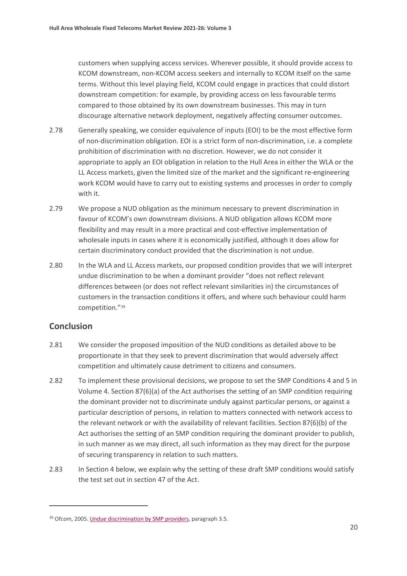customers when supplying access services. Wherever possible, it should provide access to KCOM downstream, non-KCOM access seekers and internally to KCOM itself on the same terms. Without this level playing field, KCOM could engage in practices that could distort downstream competition: for example, by providing access on less favourable terms compared to those obtained by its own downstream businesses. This may in turn discourage alternative network deployment, negatively affecting consumer outcomes.

- 2.78 Generally speaking, we consider equivalence of inputs (EOI) to be the most effective form of non-discrimination obligation. EOI is a strict form of non-discrimination, i.e. a complete prohibition of discrimination with no discretion. However, we do not consider it appropriate to apply an EOI obligation in relation to the Hull Area in either the WLA or the LL Access markets, given the limited size of the market and the significant re-engineering work KCOM would have to carry out to existing systems and processes in order to comply with it.
- 2.79 We propose a NUD obligation as the minimum necessary to prevent discrimination in favour of KCOM's own downstream divisions. A NUD obligation allows KCOM more flexibility and may result in a more practical and cost-effective implementation of wholesale inputs in cases where it is economically justified, although it does allow for certain discriminatory conduct provided that the discrimination is not undue.
- 2.80 In the WLA and LL Access markets, our proposed condition provides that we will interpret undue discrimination to be when a dominant provider "does not reflect relevant differences between (or does not reflect relevant similarities in) the circumstances of customers in the transaction conditions it offers, and where such behaviour could harm competition."[39](#page-20-0)

### **Conclusion**

- 2.81 We consider the proposed imposition of the NUD conditions as detailed above to be proportionate in that they seek to prevent discrimination that would adversely affect competition and ultimately cause detriment to citizens and consumers.
- 2.82 To implement these provisional decisions, we propose to set the SMP Conditions 4 and 5 in Volume 4. Section 87(6)(a) of the Act authorises the setting of an SMP condition requiring the dominant provider not to discriminate unduly against particular persons, or against a particular description of persons, in relation to matters connected with network access to the relevant network or with the availability of relevant facilities. Section 87(6)(b) of the Act authorises the setting of an SMP condition requiring the dominant provider to publish, in such manner as we may direct, all such information as they may direct for the purpose of securing transparency in relation to such matters.
- 2.83 In Section 4 below, we explain why the setting of these draft SMP conditions would satisfy the test set out in section 47 of the Act.

<span id="page-20-0"></span><sup>39</sup> Ofcom, 2005[. Undue discrimination by SMP providers,](https://www.ofcom.org.uk/__data/assets/pdf_file/0021/46038/contraventions4.pdf) paragraph 3.5.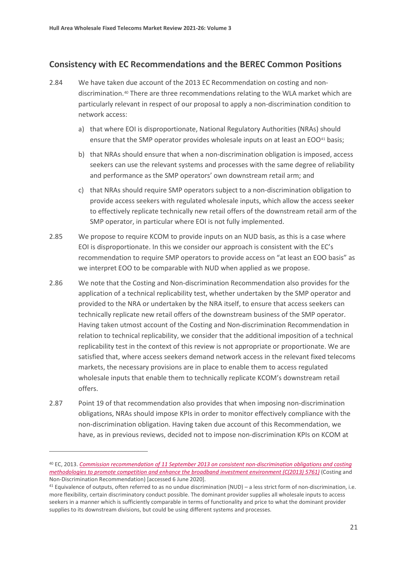### **Consistency with EC Recommendations and the BEREC Common Positions**

- 2.84 We have taken due account of the 2013 EC Recommendation on costing and nondiscrimination.[40](#page-21-0) There are three recommendations relating to the WLA market which are particularly relevant in respect of our proposal to apply a non-discrimination condition to network access:
	- a) that where EOI is disproportionate, National Regulatory Authorities (NRAs) should ensure that the SMP operator provides wholesale inputs on at least an EOO[41](#page-21-1) basis;
	- b) that NRAs should ensure that when a non-discrimination obligation is imposed, access seekers can use the relevant systems and processes with the same degree of reliability and performance as the SMP operators' own downstream retail arm; and
	- c) that NRAs should require SMP operators subject to a non-discrimination obligation to provide access seekers with regulated wholesale inputs, which allow the access seeker to effectively replicate technically new retail offers of the downstream retail arm of the SMP operator, in particular where EOI is not fully implemented.
- 2.85 We propose to require KCOM to provide inputs on an NUD basis, as this is a case where EOI is disproportionate. In this we consider our approach is consistent with the EC's recommendation to require SMP operators to provide access on "at least an EOO basis" as we interpret EOO to be comparable with NUD when applied as we propose.
- 2.86 We note that the Costing and Non-discrimination Recommendation also provides for the application of a technical replicability test, whether undertaken by the SMP operator and provided to the NRA or undertaken by the NRA itself, to ensure that access seekers can technically replicate new retail offers of the downstream business of the SMP operator. Having taken utmost account of the Costing and Non-discrimination Recommendation in relation to technical replicability, we consider that the additional imposition of a technical replicability test in the context of this review is not appropriate or proportionate. We are satisfied that, where access seekers demand network access in the relevant fixed telecoms markets, the necessary provisions are in place to enable them to access regulated wholesale inputs that enable them to technically replicate KCOM's downstream retail offers.
- 2.87 Point 19 of that recommendation also provides that when imposing non-discrimination obligations, NRAs should impose KPIs in order to monitor effectively compliance with the non-discrimination obligation. Having taken due account of this Recommendation, we have, as in previous reviews, decided not to impose non-discrimination KPIs on KCOM at

<span id="page-21-0"></span><sup>40</sup> EC, 2013. *[Commission recommendation of 11 September 2013 on consistent non-discrimination obligations and costing](https://ec.europa.eu/smart-regulation/impact/ia_carried_out/docs/ia_2013/c_2013_5761_en.pdf)  [methodologies to promote competition and enhance the broadband investment environment \(C\(2013\) 5761\)](https://ec.europa.eu/smart-regulation/impact/ia_carried_out/docs/ia_2013/c_2013_5761_en.pdf)* (Costing and Non-Discrimination Recommendation) [accessed 6 June 2020].

<span id="page-21-1"></span> $41$  Equivalence of outputs, often referred to as no undue discrimination (NUD) – a less strict form of non-discrimination, i.e. more flexibility, certain discriminatory conduct possible. The dominant provider supplies all wholesale inputs to access seekers in a manner which is sufficiently comparable in terms of functionality and price to what the dominant provider supplies to its downstream divisions, but could be using different systems and processes.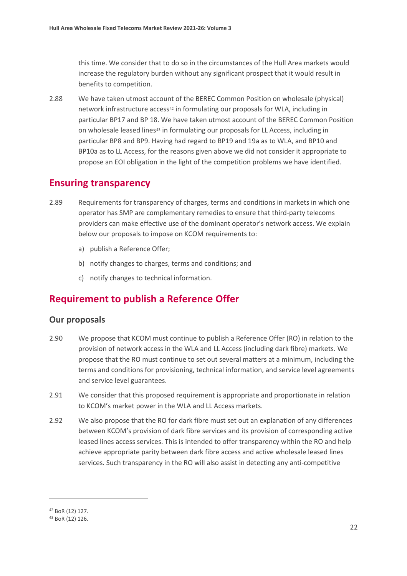this time. We consider that to do so in the circumstances of the Hull Area markets would increase the regulatory burden without any significant prospect that it would result in benefits to competition.

2.88 We have taken utmost account of the BEREC Common Position on wholesale (physical) network infrastructure access<sup>[42](#page-22-0)</sup> in formulating our proposals for WLA, including in particular BP17 and BP 18. We have taken utmost account of the BEREC Common Position on wholesale leased lines<sup>[43](#page-22-1)</sup> in formulating our proposals for LL Access, including in particular BP8 and BP9. Having had regard to BP19 and 19a as to WLA, and BP10 and BP10a as to LL Access, for the reasons given above we did not consider it appropriate to propose an EOI obligation in the light of the competition problems we have identified.

# **Ensuring transparency**

- 2.89 Requirements for transparency of charges, terms and conditions in markets in which one operator has SMP are complementary remedies to ensure that third-party telecoms providers can make effective use of the dominant operator's network access. We explain below our proposals to impose on KCOM requirements to:
	- a) publish a Reference Offer;
	- b) notify changes to charges, terms and conditions; and
	- c) notify changes to technical information.

# **Requirement to publish a Reference Offer**

#### **Our proposals**

- 2.90 We propose that KCOM must continue to publish a Reference Offer (RO) in relation to the provision of network access in the WLA and LL Access (including dark fibre) markets. We propose that the RO must continue to set out several matters at a minimum, including the terms and conditions for provisioning, technical information, and service level agreements and service level guarantees.
- 2.91 We consider that this proposed requirement is appropriate and proportionate in relation to KCOM's market power in the WLA and LL Access markets.
- 2.92 We also propose that the RO for dark fibre must set out an explanation of any differences between KCOM's provision of dark fibre services and its provision of corresponding active leased lines access services. This is intended to offer transparency within the RO and help achieve appropriate parity between dark fibre access and active wholesale leased lines services. Such transparency in the RO will also assist in detecting any anti-competitive

<span id="page-22-0"></span><sup>42</sup> BoR (12) 127.

<span id="page-22-1"></span><sup>43</sup> BoR (12) 126.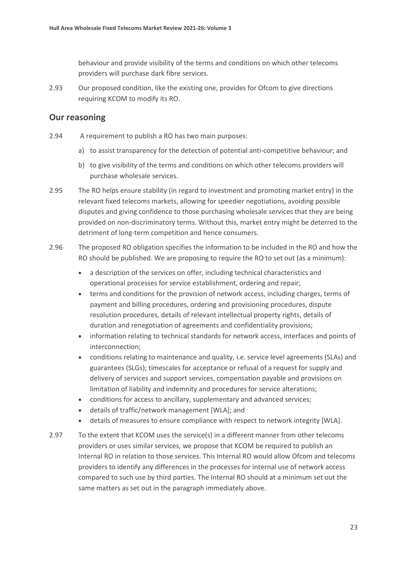behaviour and provide visibility of the terms and conditions on which other telecoms providers will purchase dark fibre services.

2.93 Our proposed condition, like the existing one, provides for Ofcom to give directions requiring KCOM to modify its RO.

#### **Our reasoning**

- 2.94 A requirement to publish a RO has two main purposes:
	- a) to assist transparency for the detection of potential anti-competitive behaviour; and
	- b) to give visibility of the terms and conditions on which other telecoms providers will purchase wholesale services.
- 2.95 The RO helps ensure stability (in regard to investment and promoting market entry) in the relevant fixed telecoms markets, allowing for speedier negotiations, avoiding possible disputes and giving confidence to those purchasing wholesale services that they are being provided on non-discriminatory terms. Without this, market entry might be deterred to the detriment of long-term competition and hence consumers.
- 2.96 The proposed RO obligation specifies the information to be included in the RO and how the RO should be published. We are proposing to require the RO to set out (as a minimum):
	- a description of the services on offer, including technical characteristics and operational processes for service establishment, ordering and repair;
	- terms and conditions for the provision of network access, including charges, terms of payment and billing procedures, ordering and provisioning procedures, dispute resolution procedures, details of relevant intellectual property rights, details of duration and renegotiation of agreements and confidentiality provisions;
	- information relating to technical standards for network access, interfaces and points of interconnection;
	- conditions relating to maintenance and quality, i.e. service level agreements (SLAs) and guarantees (SLGs); timescales for acceptance or refusal of a request for supply and delivery of services and support services, compensation payable and provisions on limitation of liability and indemnity and procedures for service alterations;
	- conditions for access to ancillary, supplementary and advanced services;
	- details of traffic/network management [WLA]; and
	- details of measures to ensure compliance with respect to network integrity [WLA].
- 2.97 To the extent that KCOM uses the service(s) in a different manner from other telecoms providers or uses similar services, we propose that KCOM be required to publish an Internal RO in relation to those services. This Internal RO would allow Ofcom and telecoms providers to identify any differences in the processes for internal use of network access compared to such use by third parties. The Internal RO should at a minimum set out the same matters as set out in the paragraph immediately above.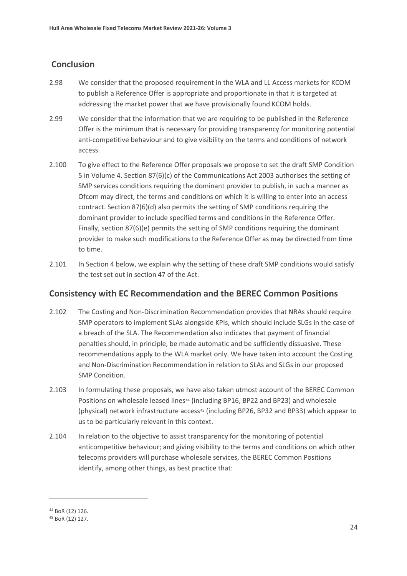## **Conclusion**

- 2.98 We consider that the proposed requirement in the WLA and LL Access markets for KCOM to publish a Reference Offer is appropriate and proportionate in that it is targeted at addressing the market power that we have provisionally found KCOM holds.
- 2.99 We consider that the information that we are requiring to be published in the Reference Offer is the minimum that is necessary for providing transparency for monitoring potential anti-competitive behaviour and to give visibility on the terms and conditions of network access.
- 2.100 To give effect to the Reference Offer proposals we propose to set the draft SMP Condition 5 in Volume 4. Section 87(6)(c) of the Communications Act 2003 authorises the setting of SMP services conditions requiring the dominant provider to publish, in such a manner as Ofcom may direct, the terms and conditions on which it is willing to enter into an access contract. Section 87(6)(d) also permits the setting of SMP conditions requiring the dominant provider to include specified terms and conditions in the Reference Offer. Finally, section 87(6)(e) permits the setting of SMP conditions requiring the dominant provider to make such modifications to the Reference Offer as may be directed from time to time.
- 2.101 In Section 4 below, we explain why the setting of these draft SMP conditions would satisfy the test set out in section 47 of the Act.

#### **Consistency with EC Recommendation and the BEREC Common Positions**

- 2.102 The Costing and Non-Discrimination Recommendation provides that NRAs should require SMP operators to implement SLAs alongside KPIs, which should include SLGs in the case of a breach of the SLA. The Recommendation also indicates that payment of financial penalties should, in principle, be made automatic and be sufficiently dissuasive. These recommendations apply to the WLA market only. We have taken into account the Costing and Non-Discrimination Recommendation in relation to SLAs and SLGs in our proposed SMP Condition.
- 2.103 In formulating these proposals, we have also taken utmost account of the BEREC Common Positions on wholesale leased lines<sup>44</sup> (including BP16, BP22 and BP23) and wholesale (physical) network infrastructure access<sup>[45](#page-24-1)</sup> (including BP26, BP32 and BP33) which appear to us to be particularly relevant in this context.
- 2.104 In relation to the objective to assist transparency for the monitoring of potential anticompetitive behaviour; and giving visibility to the terms and conditions on which other telecoms providers will purchase wholesale services, the BEREC Common Positions identify, among other things, as best practice that:

<span id="page-24-0"></span><sup>44</sup> BoR (12) 126.

<span id="page-24-1"></span><sup>45</sup> BoR (12) 127.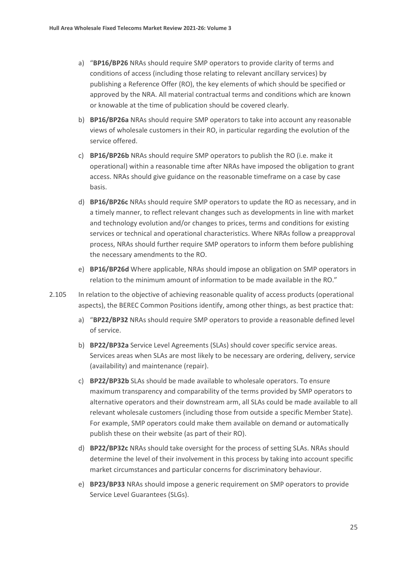- a) "**BP16/BP26** NRAs should require SMP operators to provide clarity of terms and conditions of access (including those relating to relevant ancillary services) by publishing a Reference Offer (RO), the key elements of which should be specified or approved by the NRA. All material contractual terms and conditions which are known or knowable at the time of publication should be covered clearly.
- b) **BP16/BP26a** NRAs should require SMP operators to take into account any reasonable views of wholesale customers in their RO, in particular regarding the evolution of the service offered.
- c) **BP16/BP26b** NRAs should require SMP operators to publish the RO (i.e. make it operational) within a reasonable time after NRAs have imposed the obligation to grant access. NRAs should give guidance on the reasonable timeframe on a case by case basis.
- d) **BP16/BP26c** NRAs should require SMP operators to update the RO as necessary, and in a timely manner, to reflect relevant changes such as developments in line with market and technology evolution and/or changes to prices, terms and conditions for existing services or technical and operational characteristics. Where NRAs follow a preapproval process, NRAs should further require SMP operators to inform them before publishing the necessary amendments to the RO.
- e) **BP16/BP26d** Where applicable, NRAs should impose an obligation on SMP operators in relation to the minimum amount of information to be made available in the RO."
- 2.105 In relation to the objective of achieving reasonable quality of access products (operational aspects), the BEREC Common Positions identify, among other things, as best practice that:
	- a) "**BP22/BP32** NRAs should require SMP operators to provide a reasonable defined level of service.
	- b) **BP22/BP32a** Service Level Agreements (SLAs) should cover specific service areas. Services areas when SLAs are most likely to be necessary are ordering, delivery, service (availability) and maintenance (repair).
	- c) **BP22/BP32b** SLAs should be made available to wholesale operators. To ensure maximum transparency and comparability of the terms provided by SMP operators to alternative operators and their downstream arm, all SLAs could be made available to all relevant wholesale customers (including those from outside a specific Member State). For example, SMP operators could make them available on demand or automatically publish these on their website (as part of their RO).
	- d) **BP22/BP32c** NRAs should take oversight for the process of setting SLAs. NRAs should determine the level of their involvement in this process by taking into account specific market circumstances and particular concerns for discriminatory behaviour.
	- e) **BP23/BP33** NRAs should impose a generic requirement on SMP operators to provide Service Level Guarantees (SLGs).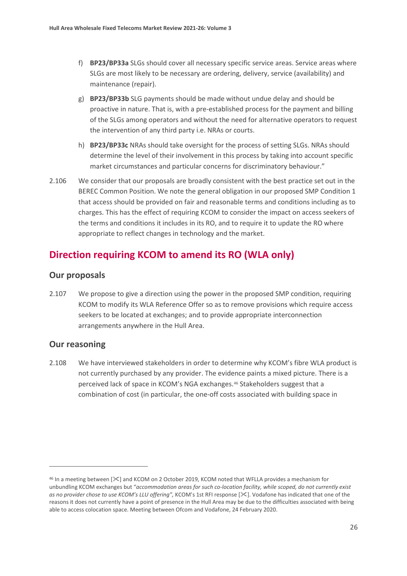- f) **BP23/BP33a** SLGs should cover all necessary specific service areas. Service areas where SLGs are most likely to be necessary are ordering, delivery, service (availability) and maintenance (repair).
- g) **BP23/BP33b** SLG payments should be made without undue delay and should be proactive in nature. That is, with a pre-established process for the payment and billing of the SLGs among operators and without the need for alternative operators to request the intervention of any third party i.e. NRAs or courts.
- h) **BP23/BP33c** NRAs should take oversight for the process of setting SLGs. NRAs should determine the level of their involvement in this process by taking into account specific market circumstances and particular concerns for discriminatory behaviour."
- 2.106 We consider that our proposals are broadly consistent with the best practice set out in the BEREC Common Position. We note the general obligation in our proposed SMP Condition 1 that access should be provided on fair and reasonable terms and conditions including as to charges. This has the effect of requiring KCOM to consider the impact on access seekers of the terms and conditions it includes in its RO, and to require it to update the RO where appropriate to reflect changes in technology and the market.

# **Direction requiring KCOM to amend its RO (WLA only)**

#### **Our proposals**

2.107 We propose to give a direction using the power in the proposed SMP condition, requiring KCOM to modify its WLA Reference Offer so as to remove provisions which require access seekers to be located at exchanges; and to provide appropriate interconnection arrangements anywhere in the Hull Area.

#### **Our reasoning**

2.108 We have interviewed stakeholders in order to determine why KCOM's fibre WLA product is not currently purchased by any provider. The evidence paints a mixed picture. There is a perceived lack of space in KCOM's NGA exchanges.[46](#page-26-0) Stakeholders suggest that a combination of cost (in particular, the one-off costs associated with building space in

<span id="page-26-0"></span><sup>46</sup> In a meeting between [ $\leq$ ] and KCOM on 2 October 2019, KCOM noted that WFLLA provides a mechanism for unbundling KCOM exchanges but "*accommodation areas for such co-location facility, while scoped, do not currently exist as no provider chose to use KCOM's LLU offering"*, KCOM's 1st RFI response [ $\leq$ ]. Vodafone has indicated that one of the reasons it does not currently have a point of presence in the Hull Area may be due to the difficulties associated with being able to access colocation space. Meeting between Ofcom and Vodafone, 24 February 2020.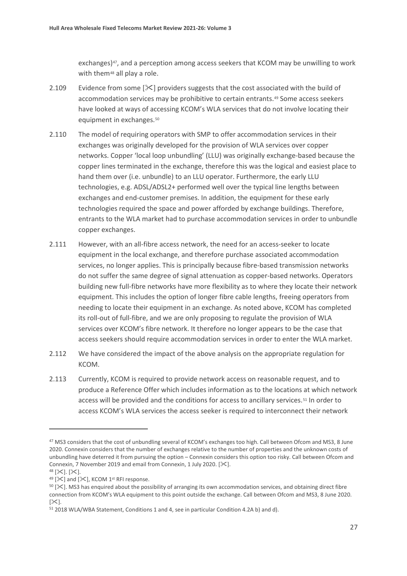exchanges)<sup>[47](#page-27-0)</sup>, and a perception among access seekers that KCOM may be unwilling to work with them<sup>[48](#page-27-1)</sup> all play a role.

- 2.109 Evidence from some  $[\&]$  providers suggests that the cost associated with the build of accommodation services may be prohibitive to certain entrants.[49](#page-27-2) Some access seekers have looked at ways of accessing KCOM's WLA services that do not involve locating their equipment in exchanges.<sup>[50](#page-27-3)</sup>
- 2.110 The model of requiring operators with SMP to offer accommodation services in their exchanges was originally developed for the provision of WLA services over copper networks. Copper 'local loop unbundling' (LLU) was originally exchange-based because the copper lines terminated in the exchange, therefore this was the logical and easiest place to hand them over (i.e. unbundle) to an LLU operator. Furthermore, the early LLU technologies, e.g. ADSL/ADSL2+ performed well over the typical line lengths between exchanges and end-customer premises. In addition, the equipment for these early technologies required the space and power afforded by exchange buildings. Therefore, entrants to the WLA market had to purchase accommodation services in order to unbundle copper exchanges.
- 2.111 However, with an all-fibre access network, the need for an access-seeker to locate equipment in the local exchange, and therefore purchase associated accommodation services, no longer applies. This is principally because fibre-based transmission networks do not suffer the same degree of signal attenuation as copper-based networks. Operators building new full-fibre networks have more flexibility as to where they locate their network equipment. This includes the option of longer fibre cable lengths, freeing operators from needing to locate their equipment in an exchange. As noted above, KCOM has completed its roll-out of full-fibre, and we are only proposing to regulate the provision of WLA services over KCOM's fibre network. It therefore no longer appears to be the case that access seekers should require accommodation services in order to enter the WLA market.
- 2.112 We have considered the impact of the above analysis on the appropriate regulation for KCOM.
- 2.113 Currently, KCOM is required to provide network access on reasonable request, and to produce a Reference Offer which includes information as to the locations at which network access will be provided and the conditions for access to ancillary services.<sup>[51](#page-27-4)</sup> In order to access KCOM's WLA services the access seeker is required to interconnect their network

<span id="page-27-0"></span><sup>&</sup>lt;sup>47</sup> MS3 considers that the cost of unbundling several of KCOM's exchanges too high. Call between Ofcom and MS3, 8 June 2020. Connexin considers that the number of exchanges relative to the number of properties and the unknown costs of unbundling have deterred it from pursuing the option – Connexin considers this option too risky. Call between Ofcom and Connexin, 7 November 2019 and email from Connexin, 1 July 2020. [ $\&$ ].

<span id="page-27-1"></span> $48$  [ $\times$ ]. [ $\times$ ].  $49$  [ $\mathsf{\times}$ ] and [ $\mathsf{\times}$ ], KCOM 1st RFI response.

<span id="page-27-3"></span><span id="page-27-2"></span> $50$  [ $\ge$ ]. MS3 has enquired about the possibility of arranging its own accommodation services, and obtaining direct fibre connection from KCOM's WLA equipment to this point outside the exchange. Call between Ofcom and MS3, 8 June 2020.  $[\times]$ .

<span id="page-27-4"></span><sup>51</sup> 2018 WLA/WBA Statement, Conditions 1 and 4, see in particular Condition 4.2A b) and d).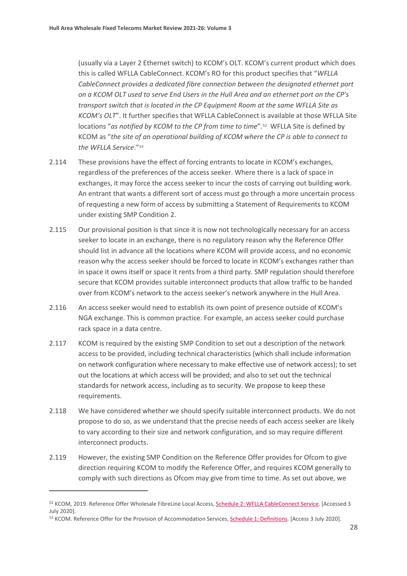(usually via a Layer 2 Ethernet switch) to KCOM's OLT. KCOM's current product which does this is called WFLLA CableConnect. KCOM's RO for this product specifies that "*WFLLA CableConnect provides a dedicated fibre connection between the designated ethernet port on a KCOM OLT used to serve End Users in the Hull Area and an ethernet port on the CP's transport switch that is located in the CP Equipment Room at the same WFLLA Site as KCOM's OLT*". It further specifies that WFLLA CableConnect is available at those WFLLA Site locations "*as notified by KCOM to the CP from time to time*".[52](#page-28-0) WFLLA Site is defined by KCOM as "*the site of an operational building of KCOM where the CP is able to connect to the WFLLA Service*."[53](#page-28-1)

- 2.114 These provisions have the effect of forcing entrants to locate in KCOM's exchanges, regardless of the preferences of the access seeker. Where there is a lack of space in exchanges, it may force the access seeker to incur the costs of carrying out building work. An entrant that wants a different sort of access must go through a more uncertain process of requesting a new form of access by submitting a Statement of Requirements to KCOM under existing SMP Condition 2.
- 2.115 Our provisional position is that since it is now not technologically necessary for an access seeker to locate in an exchange, there is no regulatory reason why the Reference Offer should list in advance all the locations where KCOM will provide access, and no economic reason why the access seeker should be forced to locate in KCOM's exchanges rather than in space it owns itself or space it rents from a third party. SMP regulation should therefore secure that KCOM provides suitable interconnect products that allow traffic to be handed over from KCOM's network to the access seeker's network anywhere in the Hull Area.
- 2.116 An access seeker would need to establish its own point of presence outside of KCOM's NGA exchange. This is common practice. For example, an access seeker could purchase rack space in a data centre.
- 2.117 KCOM is required by the existing SMP Condition to set out a description of the network access to be provided, including technical characteristics (which shall include information on network configuration where necessary to make effective use of network access); to set out the locations at which access will be provided; and also to set out the technical standards for network access, including as to security. We propose to keep these requirements.
- 2.118 We have considered whether we should specify suitable interconnect products. We do not propose to do so, as we understand that the precise needs of each access seeker are likely to vary according to their size and network configuration, and so may require different interconnect products.
- 2.119 However, the existing SMP Condition on the Reference Offer provides for Ofcom to give direction requiring KCOM to modify the Reference Offer, and requires KCOM generally to comply with such directions as Ofcom may give from time to time. As set out above, we

<span id="page-28-1"></span>53 KCOM. Reference Offer for the Provision of Accommodation Services[, Schedule 1: Definitions.](https://www.kcomgroupltd.com/media/1452/schedule-1_definitions_accommodation-services-final-080719.pdf) [Access 3 July 2020].

<span id="page-28-0"></span><sup>52</sup> KCOM, 2019. Reference Offer Wholesale FibreLine Local Access, [Schedule 2: WFLLA CableConnect Service.](https://www.kcomgroupltd.com/media/1560/schedule-2_wflla-cableconnect-final-080719-vf.pdf) [Accessed 3 July 2020].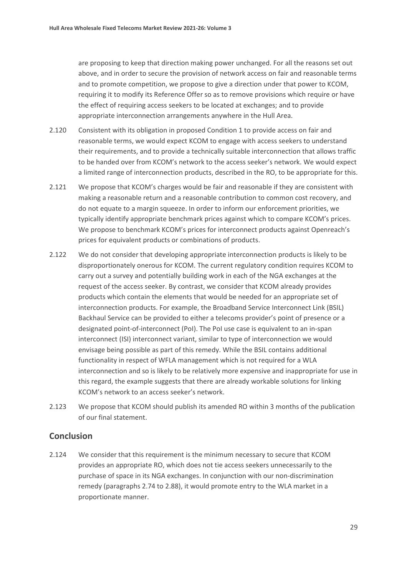are proposing to keep that direction making power unchanged. For all the reasons set out above, and in order to secure the provision of network access on fair and reasonable terms and to promote competition, we propose to give a direction under that power to KCOM, requiring it to modify its Reference Offer so as to remove provisions which require or have the effect of requiring access seekers to be located at exchanges; and to provide appropriate interconnection arrangements anywhere in the Hull Area.

- 2.120 Consistent with its obligation in proposed Condition 1 to provide access on fair and reasonable terms, we would expect KCOM to engage with access seekers to understand their requirements, and to provide a technically suitable interconnection that allows traffic to be handed over from KCOM's network to the access seeker's network. We would expect a limited range of interconnection products, described in the RO, to be appropriate for this.
- 2.121 We propose that KCOM's charges would be fair and reasonable if they are consistent with making a reasonable return and a reasonable contribution to common cost recovery, and do not equate to a margin squeeze. In order to inform our enforcement priorities, we typically identify appropriate benchmark prices against which to compare KCOM's prices. We propose to benchmark KCOM's prices for interconnect products against Openreach's prices for equivalent products or combinations of products.
- 2.122 We do not consider that developing appropriate interconnection products is likely to be disproportionately onerous for KCOM. The current regulatory condition requires KCOM to carry out a survey and potentially building work in each of the NGA exchanges at the request of the access seeker. By contrast, we consider that KCOM already provides products which contain the elements that would be needed for an appropriate set of interconnection products. For example, the Broadband Service Interconnect Link (BSIL) Backhaul Service can be provided to either a telecoms provider's point of presence or a designated point-of-interconnect (PoI). The PoI use case is equivalent to an in-span interconnect (ISI) interconnect variant, similar to type of interconnection we would envisage being possible as part of this remedy. While the BSIL contains additional functionality in respect of WFLA management which is not required for a WLA interconnection and so is likely to be relatively more expensive and inappropriate for use in this regard, the example suggests that there are already workable solutions for linking KCOM's network to an access seeker's network.
- 2.123 We propose that KCOM should publish its amended RO within 3 months of the publication of our final statement.

#### **Conclusion**

2.124 We consider that this requirement is the minimum necessary to secure that KCOM provides an appropriate RO, which does not tie access seekers unnecessarily to the purchase of space in its NGA exchanges. In conjunction with our non-discrimination remedy (paragraphs 2.74 to 2.88), it would promote entry to the WLA market in a proportionate manner.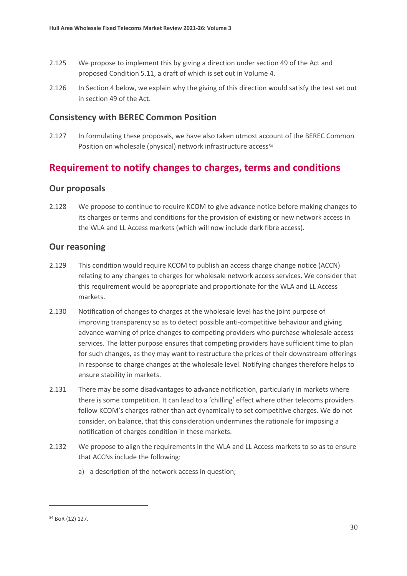- 2.125 We propose to implement this by giving a direction under section 49 of the Act and proposed Condition 5.11, a draft of which is set out in Volume 4.
- 2.126 In Section 4 below, we explain why the giving of this direction would satisfy the test set out in section 49 of the Act.

#### **Consistency with BEREC Common Position**

2.127 In formulating these proposals, we have also taken utmost account of the BEREC Common Position on wholesale (physical) network infrastructure access<sup>[54](#page-30-0)</sup>

# **Requirement to notify changes to charges, terms and conditions**

#### **Our proposals**

2.128 We propose to continue to require KCOM to give advance notice before making changes to its charges or terms and conditions for the provision of existing or new network access in the WLA and LL Access markets (which will now include dark fibre access).

#### **Our reasoning**

- 2.129 This condition would require KCOM to publish an access charge change notice (ACCN) relating to any changes to charges for wholesale network access services. We consider that this requirement would be appropriate and proportionate for the WLA and LL Access markets.
- 2.130 Notification of changes to charges at the wholesale level has the joint purpose of improving transparency so as to detect possible anti-competitive behaviour and giving advance warning of price changes to competing providers who purchase wholesale access services. The latter purpose ensures that competing providers have sufficient time to plan for such changes, as they may want to restructure the prices of their downstream offerings in response to charge changes at the wholesale level. Notifying changes therefore helps to ensure stability in markets.
- 2.131 There may be some disadvantages to advance notification, particularly in markets where there is some competition. It can lead to a 'chilling' effect where other telecoms providers follow KCOM's charges rather than act dynamically to set competitive charges. We do not consider, on balance, that this consideration undermines the rationale for imposing a notification of charges condition in these markets.
- 2.132 We propose to align the requirements in the WLA and LL Access markets to so as to ensure that ACCNs include the following:
	- a) a description of the network access in question;

<span id="page-30-0"></span><sup>54</sup> BoR (12) 127.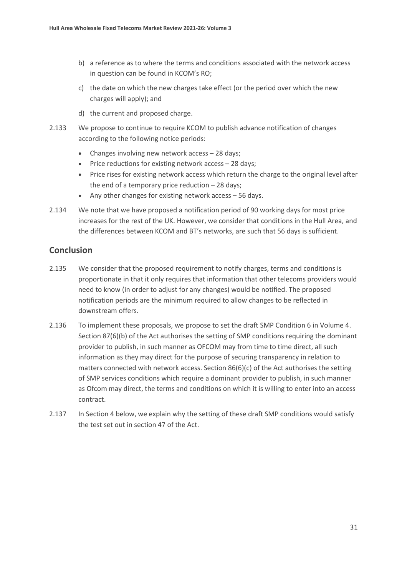- b) a reference as to where the terms and conditions associated with the network access in question can be found in KCOM's RO;
- c) the date on which the new charges take effect (or the period over which the new charges will apply); and
- d) the current and proposed charge.
- 2.133 We propose to continue to require KCOM to publish advance notification of changes according to the following notice periods:
	- Changes involving new network access 28 days;
	- Price reductions for existing network access 28 days;
	- Price rises for existing network access which return the charge to the original level after the end of a temporary price reduction – 28 days;
	- Any other changes for existing network access 56 days.
- 2.134 We note that we have proposed a notification period of 90 working days for most price increases for the rest of the UK. However, we consider that conditions in the Hull Area, and the differences between KCOM and BT's networks, are such that 56 days is sufficient.

#### **Conclusion**

- 2.135 We consider that the proposed requirement to notify charges, terms and conditions is proportionate in that it only requires that information that other telecoms providers would need to know (in order to adjust for any changes) would be notified. The proposed notification periods are the minimum required to allow changes to be reflected in downstream offers.
- 2.136 To implement these proposals, we propose to set the draft SMP Condition 6 in Volume 4. Section 87(6)(b) of the Act authorises the setting of SMP conditions requiring the dominant provider to publish, in such manner as OFCOM may from time to time direct, all such information as they may direct for the purpose of securing transparency in relation to matters connected with network access. Section 86(6)(c) of the Act authorises the setting of SMP services conditions which require a dominant provider to publish, in such manner as Ofcom may direct, the terms and conditions on which it is willing to enter into an access contract.
- 2.137 In Section 4 below, we explain why the setting of these draft SMP conditions would satisfy the test set out in section 47 of the Act.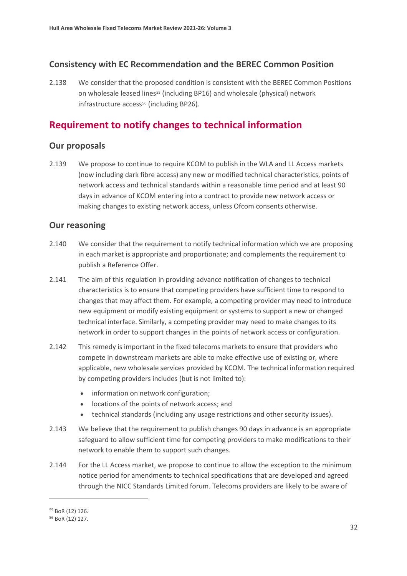### **Consistency with EC Recommendation and the BEREC Common Position**

2.138 We consider that the proposed condition is consistent with the BEREC Common Positions on wholesale leased lines<sup>[55](#page-32-0)</sup> (including BP16) and wholesale (physical) network infrastructure access<sup>[56](#page-32-1)</sup> (including BP26).

# **Requirement to notify changes to technical information**

#### **Our proposals**

2.139 We propose to continue to require KCOM to publish in the WLA and LL Access markets (now including dark fibre access) any new or modified technical characteristics, points of network access and technical standards within a reasonable time period and at least 90 days in advance of KCOM entering into a contract to provide new network access or making changes to existing network access, unless Ofcom consents otherwise.

#### **Our reasoning**

- 2.140 We consider that the requirement to notify technical information which we are proposing in each market is appropriate and proportionate; and complements the requirement to publish a Reference Offer.
- 2.141 The aim of this regulation in providing advance notification of changes to technical characteristics is to ensure that competing providers have sufficient time to respond to changes that may affect them. For example, a competing provider may need to introduce new equipment or modify existing equipment or systems to support a new or changed technical interface. Similarly, a competing provider may need to make changes to its network in order to support changes in the points of network access or configuration.
- 2.142 This remedy is important in the fixed telecoms markets to ensure that providers who compete in downstream markets are able to make effective use of existing or, where applicable, new wholesale services provided by KCOM. The technical information required by competing providers includes (but is not limited to):
	- information on network configuration;
	- locations of the points of network access; and
	- technical standards (including any usage restrictions and other security issues).
- 2.143 We believe that the requirement to publish changes 90 days in advance is an appropriate safeguard to allow sufficient time for competing providers to make modifications to their network to enable them to support such changes.
- 2.144 For the LL Access market, we propose to continue to allow the exception to the minimum notice period for amendments to technical specifications that are developed and agreed through the NICC Standards Limited forum. Telecoms providers are likely to be aware of

<span id="page-32-0"></span><sup>55</sup> BoR (12) 126.

<span id="page-32-1"></span><sup>56</sup> BoR (12) 127.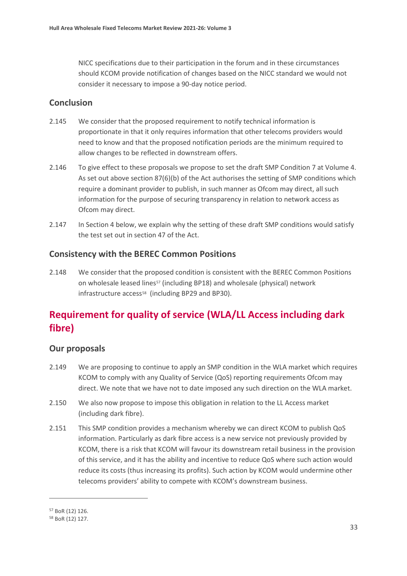NICC specifications due to their participation in the forum and in these circumstances should KCOM provide notification of changes based on the NICC standard we would not consider it necessary to impose a 90-day notice period.

## **Conclusion**

- 2.145 We consider that the proposed requirement to notify technical information is proportionate in that it only requires information that other telecoms providers would need to know and that the proposed notification periods are the minimum required to allow changes to be reflected in downstream offers.
- 2.146 To give effect to these proposals we propose to set the draft SMP Condition 7 at Volume 4. As set out above section 87(6)(b) of the Act authorises the setting of SMP conditions which require a dominant provider to publish, in such manner as Ofcom may direct, all such information for the purpose of securing transparency in relation to network access as Ofcom may direct.
- 2.147 In Section 4 below, we explain why the setting of these draft SMP conditions would satisfy the test set out in section 47 of the Act.

## **Consistency with the BEREC Common Positions**

2.148 We consider that the proposed condition is consistent with the BEREC Common Positions on wholesale leased lines<sup>[57](#page-33-0)</sup> (including BP18) and wholesale (physical) network infrastructure access<sup>[58](#page-33-1)</sup> (including BP29 and BP30).

# **Requirement for quality of service (WLA/LL Access including dark fibre)**

## **Our proposals**

- 2.149 We are proposing to continue to apply an SMP condition in the WLA market which requires KCOM to comply with any Quality of Service (QoS) reporting requirements Ofcom may direct. We note that we have not to date imposed any such direction on the WLA market.
- 2.150 We also now propose to impose this obligation in relation to the LL Access market (including dark fibre).
- 2.151 This SMP condition provides a mechanism whereby we can direct KCOM to publish QoS information. Particularly as dark fibre access is a new service not previously provided by KCOM, there is a risk that KCOM will favour its downstream retail business in the provision of this service, and it has the ability and incentive to reduce QoS where such action would reduce its costs (thus increasing its profits). Such action by KCOM would undermine other telecoms providers' ability to compete with KCOM's downstream business.

<span id="page-33-0"></span><sup>57</sup> BoR (12) 126.

<span id="page-33-1"></span><sup>58</sup> BoR (12) 127.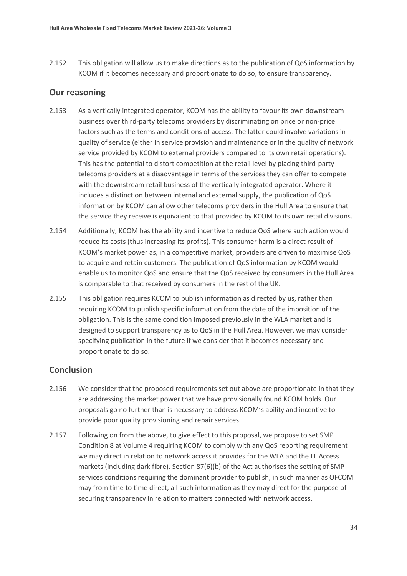2.152 This obligation will allow us to make directions as to the publication of QoS information by KCOM if it becomes necessary and proportionate to do so, to ensure transparency.

#### **Our reasoning**

- 2.153 As a vertically integrated operator, KCOM has the ability to favour its own downstream business over third-party telecoms providers by discriminating on price or non-price factors such as the terms and conditions of access. The latter could involve variations in quality of service (either in service provision and maintenance or in the quality of network service provided by KCOM to external providers compared to its own retail operations). This has the potential to distort competition at the retail level by placing third-party telecoms providers at a disadvantage in terms of the services they can offer to compete with the downstream retail business of the vertically integrated operator. Where it includes a distinction between internal and external supply, the publication of QoS information by KCOM can allow other telecoms providers in the Hull Area to ensure that the service they receive is equivalent to that provided by KCOM to its own retail divisions.
- 2.154 Additionally, KCOM has the ability and incentive to reduce QoS where such action would reduce its costs (thus increasing its profits). This consumer harm is a direct result of KCOM's market power as, in a competitive market, providers are driven to maximise QoS to acquire and retain customers. The publication of QoS information by KCOM would enable us to monitor QoS and ensure that the QoS received by consumers in the Hull Area is comparable to that received by consumers in the rest of the UK.
- 2.155 This obligation requires KCOM to publish information as directed by us, rather than requiring KCOM to publish specific information from the date of the imposition of the obligation. This is the same condition imposed previously in the WLA market and is designed to support transparency as to QoS in the Hull Area. However, we may consider specifying publication in the future if we consider that it becomes necessary and proportionate to do so.

#### **Conclusion**

- 2.156 We consider that the proposed requirements set out above are proportionate in that they are addressing the market power that we have provisionally found KCOM holds. Our proposals go no further than is necessary to address KCOM's ability and incentive to provide poor quality provisioning and repair services.
- 2.157 Following on from the above, to give effect to this proposal, we propose to set SMP Condition 8 at Volume 4 requiring KCOM to comply with any QoS reporting requirement we may direct in relation to network access it provides for the WLA and the LL Access markets (including dark fibre). Section 87(6)(b) of the Act authorises the setting of SMP services conditions requiring the dominant provider to publish, in such manner as OFCOM may from time to time direct, all such information as they may direct for the purpose of securing transparency in relation to matters connected with network access.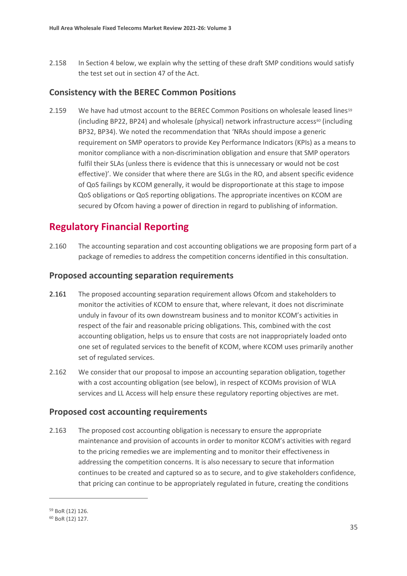2.158 In Section 4 below, we explain why the setting of these draft SMP conditions would satisfy the test set out in section 47 of the Act.

#### **Consistency with the BEREC Common Positions**

2.1[59](#page-35-0) We have had utmost account to the BEREC Common Positions on wholesale leased lines<sup>59</sup> (including BP22, BP24) and wholesale (physical) network infrastructure access<sup>[60](#page-35-1)</sup> (including BP32, BP34). We noted the recommendation that 'NRAs should impose a generic requirement on SMP operators to provide Key Performance Indicators (KPIs) as a means to monitor compliance with a non-discrimination obligation and ensure that SMP operators fulfil their SLAs (unless there is evidence that this is unnecessary or would not be cost effective)'. We consider that where there are SLGs in the RO, and absent specific evidence of QoS failings by KCOM generally, it would be disproportionate at this stage to impose QoS obligations or QoS reporting obligations. The appropriate incentives on KCOM are secured by Ofcom having a power of direction in regard to publishing of information.

# **Regulatory Financial Reporting**

2.160 The accounting separation and cost accounting obligations we are proposing form part of a package of remedies to address the competition concerns identified in this consultation.

#### **Proposed accounting separation requirements**

- 2.161 The proposed accounting separation requirement allows Ofcom and stakeholders to monitor the activities of KCOM to ensure that, where relevant, it does not discriminate unduly in favour of its own downstream business and to monitor KCOM's activities in respect of the fair and reasonable pricing obligations. This, combined with the cost accounting obligation, helps us to ensure that costs are not inappropriately loaded onto one set of regulated services to the benefit of KCOM, where KCOM uses primarily another set of regulated services.
- 2.162 We consider that our proposal to impose an accounting separation obligation, together with a cost accounting obligation (see below), in respect of KCOMs provision of WLA services and LL Access will help ensure these regulatory reporting objectives are met.

#### **Proposed cost accounting requirements**

2.163 The proposed cost accounting obligation is necessary to ensure the appropriate maintenance and provision of accounts in order to monitor KCOM's activities with regard to the pricing remedies we are implementing and to monitor their effectiveness in addressing the competition concerns. It is also necessary to secure that information continues to be created and captured so as to secure, and to give stakeholders confidence, that pricing can continue to be appropriately regulated in future, creating the conditions

<span id="page-35-0"></span><sup>59</sup> BoR (12) 126.

<span id="page-35-1"></span><sup>60</sup> BoR (12) 127.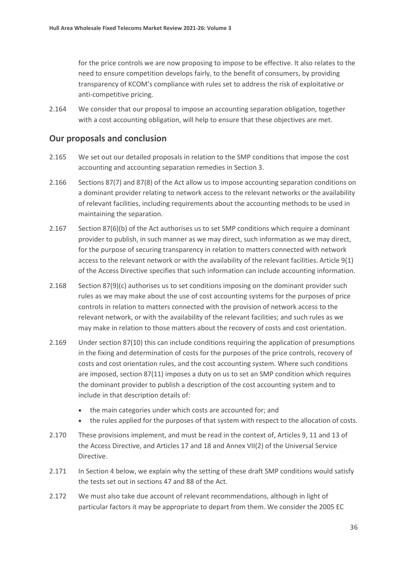for the price controls we are now proposing to impose to be effective. It also relates to the need to ensure competition develops fairly, to the benefit of consumers, by providing transparency of KCOM's compliance with rules set to address the risk of exploitative or anti-competitive pricing.

2.164 We consider that our proposal to impose an accounting separation obligation, together with a cost accounting obligation, will help to ensure that these objectives are met.

#### **Our proposals and conclusion**

- 2.165 We set out our detailed proposals in relation to the SMP conditions that impose the cost accounting and accounting separation remedies in Section 3.
- 2.166 Sections 87(7) and 87(8) of the Act allow us to impose accounting separation conditions on a dominant provider relating to network access to the relevant networks or the availability of relevant facilities, including requirements about the accounting methods to be used in maintaining the separation.
- 2.167 Section 87(6)(b) of the Act authorises us to set SMP conditions which require a dominant provider to publish, in such manner as we may direct, such information as we may direct, for the purpose of securing transparency in relation to matters connected with network access to the relevant network or with the availability of the relevant facilities. Article 9(1) of the Access Directive specifies that such information can include accounting information.
- 2.168 Section 87(9)(c) authorises us to set conditions imposing on the dominant provider such rules as we may make about the use of cost accounting systems for the purposes of price controls in relation to matters connected with the provision of network access to the relevant network, or with the availability of the relevant facilities; and such rules as we may make in relation to those matters about the recovery of costs and cost orientation.
- 2.169 Under section 87(10) this can include conditions requiring the application of presumptions in the fixing and determination of costs for the purposes of the price controls, recovery of costs and cost orientation rules, and the cost accounting system. Where such conditions are imposed, section 87(11) imposes a duty on us to set an SMP condition which requires the dominant provider to publish a description of the cost accounting system and to include in that description details of:
	- the main categories under which costs are accounted for; and
	- the rules applied for the purposes of that system with respect to the allocation of costs.
- 2.170 These provisions implement, and must be read in the context of, Articles 9, 11 and 13 of the Access Directive, and Articles 17 and 18 and Annex VII(2) of the Universal Service Directive.
- 2.171 In Section 4 below, we explain why the setting of these draft SMP conditions would satisfy the tests set out in sections 47 and 88 of the Act.
- 2.172 We must also take due account of relevant recommendations, although in light of particular factors it may be appropriate to depart from them. We consider the 2005 EC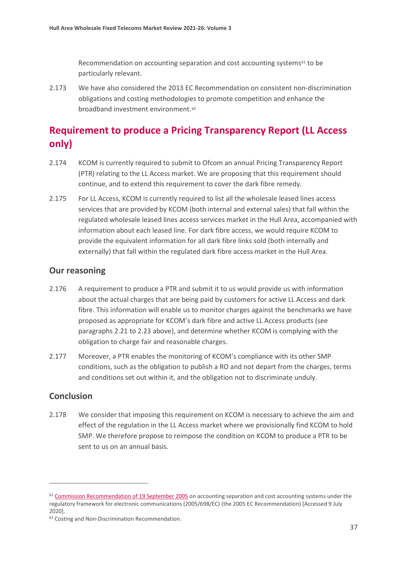Recommendation on accounting separation and cost accounting systems<sup>[61](#page-37-0)</sup> to be particularly relevant.

2.173 We have also considered the 2013 EC Recommendation on consistent non-discrimination obligations and costing methodologies to promote competition and enhance the broadband investment environment.[62](#page-37-1)

# **Requirement to produce a Pricing Transparency Report (LL Access only)**

- 2.174 KCOM is currently required to submit to Ofcom an annual Pricing Transparency Report (PTR) relating to the LL Access market. We are proposing that this requirement should continue, and to extend this requirement to cover the dark fibre remedy.
- 2.175 For LL Access, KCOM is currently required to list all the wholesale leased lines access services that are provided by KCOM (both internal and external sales) that fall within the regulated wholesale leased lines access services market in the Hull Area, accompanied with information about each leased line. For dark fibre access, we would require KCOM to provide the equivalent information for all dark fibre links sold (both internally and externally) that fall within the regulated dark fibre access market in the Hull Area.

#### **Our reasoning**

- 2.176 A requirement to produce a PTR and submit it to us would provide us with information about the actual charges that are being paid by customers for active LL Access and dark fibre. This information will enable us to monitor charges against the benchmarks we have proposed as appropriate for KCOM's dark fibre and active LL Access products (see paragraphs 2.21 to 2.23 above), and determine whether KCOM is complying with the obligation to charge fair and reasonable charges.
- 2.177 Moreover, a PTR enables the monitoring of KCOM's compliance with its other SMP conditions, such as the obligation to publish a RO and not depart from the charges, terms and conditions set out within it, and the obligation not to discriminate unduly.

#### **Conclusion**

2.178 We consider that imposing this requirement on KCOM is necessary to achieve the aim and effect of the regulation in the LL Access market where we provisionally find KCOM to hold SMP. We therefore propose to reimpose the condition on KCOM to produce a PTR to be sent to us on an annual basis.

<span id="page-37-0"></span><sup>&</sup>lt;sup>61</sup> [Commission Recommendation of 19 September 2005](https://eur-lex.europa.eu/LexUriServ/LexUriServ.do?uri=OJ:L:2005:266:0064:0069:EN:PDF) on accounting separation and cost accounting systems under the regulatory framework for electronic communications (2005/698/EC) (the 2005 EC Recommendation) [Accessed 9 July 2020].

<span id="page-37-1"></span><sup>&</sup>lt;sup>62</sup> Costing and Non-Discrimination Recommendation.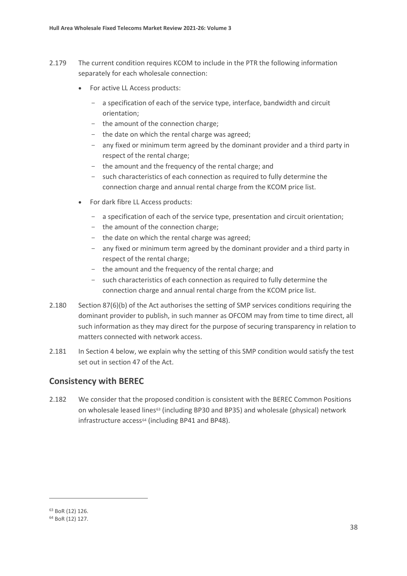- 2.179 The current condition requires KCOM to include in the PTR the following information separately for each wholesale connection:
	- For active LL Access products:
		- a specification of each of the service type, interface, bandwidth and circuit orientation;
		- the amount of the connection charge;
		- the date on which the rental charge was agreed;
		- any fixed or minimum term agreed by the dominant provider and a third party in respect of the rental charge;
		- the amount and the frequency of the rental charge; and
		- such characteristics of each connection as required to fully determine the connection charge and annual rental charge from the KCOM price list.
	- For dark fibre LL Access products:
		- a specification of each of the service type, presentation and circuit orientation;
		- the amount of the connection charge;
		- the date on which the rental charge was agreed;
		- any fixed or minimum term agreed by the dominant provider and a third party in respect of the rental charge;
		- the amount and the frequency of the rental charge; and
		- such characteristics of each connection as required to fully determine the connection charge and annual rental charge from the KCOM price list.
- 2.180 Section 87(6)(b) of the Act authorises the setting of SMP services conditions requiring the dominant provider to publish, in such manner as OFCOM may from time to time direct, all such information as they may direct for the purpose of securing transparency in relation to matters connected with network access.
- 2.181 In Section 4 below, we explain why the setting of this SMP condition would satisfy the test set out in section 47 of the Act.

#### **Consistency with BEREC**

2.182 We consider that the proposed condition is consistent with the BEREC Common Positions on wholesale leased lines<sup>[63](#page-38-0)</sup> (including BP30 and BP35) and wholesale (physical) network infrastructure access<sup>[64](#page-38-1)</sup> (including BP41 and BP48).

<span id="page-38-0"></span><sup>63</sup> BoR (12) 126.

<span id="page-38-1"></span><sup>64</sup> BoR (12) 127.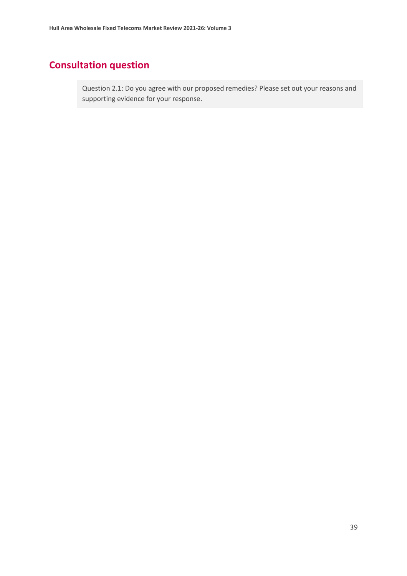# **Consultation question**

Question 2.1: Do you agree with our proposed remedies? Please set out your reasons and supporting evidence for your response.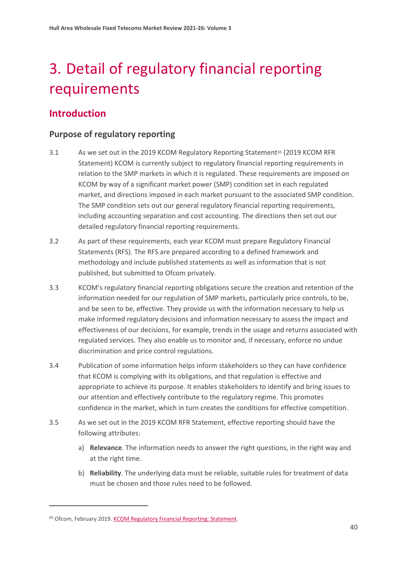# <span id="page-40-0"></span>3. Detail of regulatory financial reporting requirements

# **Introduction**

## **Purpose of regulatory reporting**

- 3.1 As we set out in the 2019 KCOM Regulatory Reporting Statement<sup>[65](#page-40-1)</sup> (2019 KCOM RFR Statement) KCOM is currently subject to regulatory financial reporting requirements in relation to the SMP markets in which it is regulated. These requirements are imposed on KCOM by way of a significant market power (SMP) condition set in each regulated market, and directions imposed in each market pursuant to the associated SMP condition. The SMP condition sets out our general regulatory financial reporting requirements, including accounting separation and cost accounting. The directions then set out our detailed regulatory financial reporting requirements.
- 3.2 As part of these requirements, each year KCOM must prepare Regulatory Financial Statements (RFS). The RFS are prepared according to a defined framework and methodology and include published statements as well as information that is not published, but submitted to Ofcom privately.
- 3.3 KCOM's regulatory financial reporting obligations secure the creation and retention of the information needed for our regulation of SMP markets, particularly price controls, to be, and be seen to be, effective. They provide us with the information necessary to help us make informed regulatory decisions and information necessary to assess the impact and effectiveness of our decisions, for example, trends in the usage and returns associated with regulated services. They also enable us to monitor and, if necessary, enforce no undue discrimination and price control regulations.
- 3.4 Publication of some information helps inform stakeholders so they can have confidence that KCOM is complying with its obligations, and that regulation is effective and appropriate to achieve its purpose. It enables stakeholders to identify and bring issues to our attention and effectively contribute to the regulatory regime. This promotes confidence in the market, which in turn creates the conditions for effective competition.
- 3.5 As we set out in the 2019 KCOM RFR Statement, effective reporting should have the following attributes:
	- a) **Relevance**. The information needs to answer the right questions, in the right way and at the right time.
	- b) **Reliability**. The underlying data must be reliable, suitable rules for treatment of data must be chosen and those rules need to be followed.

<span id="page-40-1"></span><sup>&</sup>lt;sup>65</sup> Ofcom, February 2019. [KCOM Regulatory Financial Reporting: Statement.](https://www.ofcom.org.uk/__data/assets/pdf_file/0032/135869/Statement-Regulatory-Financial-Reporting-new-regulatory-financial-reporting-directions-for-KCOM.pdf)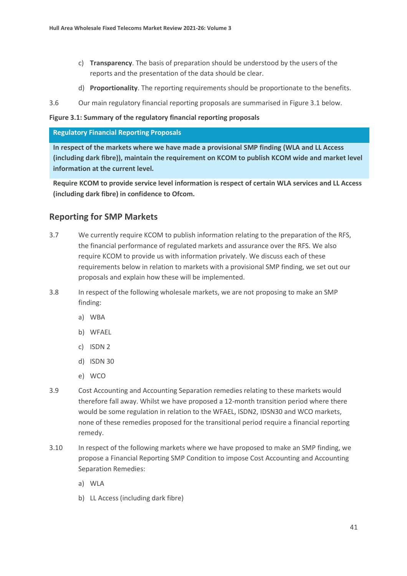- c) **Transparency**. The basis of preparation should be understood by the users of the reports and the presentation of the data should be clear.
- d) **Proportionality**. The reporting requirements should be proportionate to the benefits.
- 3.6 Our main regulatory financial reporting proposals are summarised in Figure 3.1 below.

#### **Figure 3.1: Summary of the regulatory financial reporting proposals**

#### **Regulatory Financial Reporting Proposals**

**In respect of the markets where we have made a provisional SMP finding (WLA and LL Access (including dark fibre)), maintain the requirement on KCOM to publish KCOM wide and market level information at the current level.**

**Require KCOM to provide service level information is respect of certain WLA services and LL Access (including dark fibre) in confidence to Ofcom.**

#### **Reporting for SMP Markets**

- 3.7 We currently require KCOM to publish information relating to the preparation of the RFS, the financial performance of regulated markets and assurance over the RFS. We also require KCOM to provide us with information privately. We discuss each of these requirements below in relation to markets with a provisional SMP finding, we set out our proposals and explain how these will be implemented.
- 3.8 In respect of the following wholesale markets, we are not proposing to make an SMP finding:
	- a) WBA
	- b) WFAEL
	- c) ISDN 2
	- d) ISDN 30
	- e) WCO
- 3.9 Cost Accounting and Accounting Separation remedies relating to these markets would therefore fall away. Whilst we have proposed a 12-month transition period where there would be some regulation in relation to the WFAEL, ISDN2, IDSN30 and WCO markets, none of these remedies proposed for the transitional period require a financial reporting remedy.
- 3.10 In respect of the following markets where we have proposed to make an SMP finding, we propose a Financial Reporting SMP Condition to impose Cost Accounting and Accounting Separation Remedies:
	- a) WLA
	- b) LL Access (including dark fibre)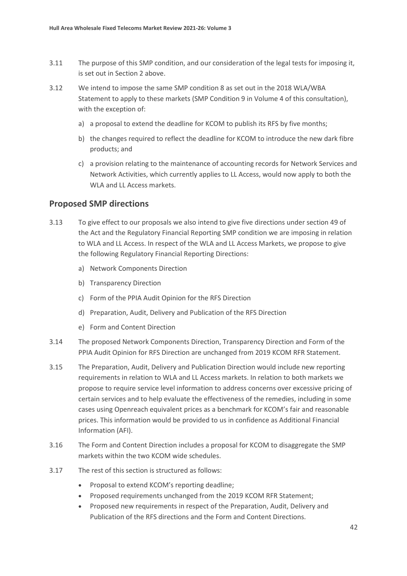- 3.11 The purpose of this SMP condition, and our consideration of the legal tests for imposing it, is set out in Section 2 above.
- 3.12 We intend to impose the same SMP condition 8 as set out in the 2018 WLA/WBA Statement to apply to these markets (SMP Condition 9 in Volume 4 of this consultation), with the exception of:
	- a) a proposal to extend the deadline for KCOM to publish its RFS by five months;
	- b) the changes required to reflect the deadline for KCOM to introduce the new dark fibre products; and
	- c) a provision relating to the maintenance of accounting records for Network Services and Network Activities, which currently applies to LL Access, would now apply to both the WLA and LL Access markets.

#### **Proposed SMP directions**

- 3.13 To give effect to our proposals we also intend to give five directions under section 49 of the Act and the Regulatory Financial Reporting SMP condition we are imposing in relation to WLA and LL Access. In respect of the WLA and LL Access Markets, we propose to give the following Regulatory Financial Reporting Directions:
	- a) Network Components Direction
	- b) Transparency Direction
	- c) Form of the PPIA Audit Opinion for the RFS Direction
	- d) Preparation, Audit, Delivery and Publication of the RFS Direction
	- e) Form and Content Direction
- 3.14 The proposed Network Components Direction, Transparency Direction and Form of the PPIA Audit Opinion for RFS Direction are unchanged from 2019 KCOM RFR Statement.
- 3.15 The Preparation, Audit, Delivery and Publication Direction would include new reporting requirements in relation to WLA and LL Access markets. In relation to both markets we propose to require service level information to address concerns over excessive pricing of certain services and to help evaluate the effectiveness of the remedies, including in some cases using Openreach equivalent prices as a benchmark for KCOM's fair and reasonable prices. This information would be provided to us in confidence as Additional Financial Information (AFI).
- 3.16 The Form and Content Direction includes a proposal for KCOM to disaggregate the SMP markets within the two KCOM wide schedules.
- 3.17 The rest of this section is structured as follows:
	- Proposal to extend KCOM's reporting deadline;
	- Proposed requirements unchanged from the 2019 KCOM RFR Statement;
	- Proposed new requirements in respect of the Preparation, Audit, Delivery and Publication of the RFS directions and the Form and Content Directions.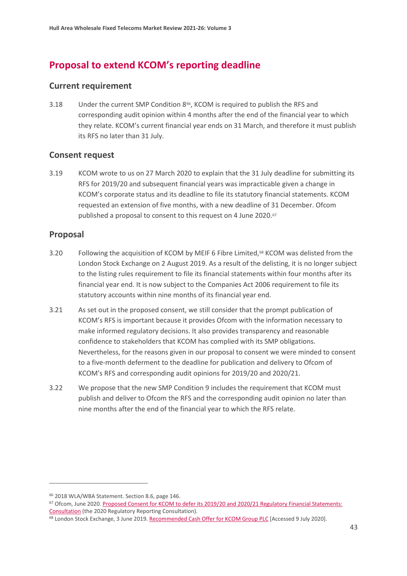# **Proposal to extend KCOM's reporting deadline**

#### **Current requirement**

3.18 Under the current SMP Condition 8[66,](#page-43-0) KCOM is required to publish the RFS and corresponding audit opinion within 4 months after the end of the financial year to which they relate. KCOM's current financial year ends on 31 March, and therefore it must publish its RFS no later than 31 July.

## **Consent request**

3.19 KCOM wrote to us on 27 March 2020 to explain that the 31 July deadline for submitting its RFS for 2019/20 and subsequent financial years was impracticable given a change in KCOM's corporate status and its deadline to file its statutory financial statements. KCOM requested an extension of five months, with a new deadline of 31 December. Ofcom published a proposal to consent to this request on 4 June 2020.<sup>67</sup>

## **Proposal**

- 3.20 Following the acquisition of KCOM by MEIF 6 Fibre Limited,<sup>[68](#page-43-2)</sup> KCOM was delisted from the London Stock Exchange on 2 August 2019. As a result of the delisting, it is no longer subject to the listing rules requirement to file its financial statements within four months after its financial year end. It is now subject to the Companies Act 2006 requirement to file its statutory accounts within nine months of its financial year end.
- 3.21 As set out in the proposed consent, we still consider that the prompt publication of KCOM's RFS is important because it provides Ofcom with the information necessary to make informed regulatory decisions. It also provides transparency and reasonable confidence to stakeholders that KCOM has complied with its SMP obligations. Nevertheless, for the reasons given in our proposal to consent we were minded to consent to a five-month deferment to the deadline for publication and delivery to Ofcom of KCOM's RFS and corresponding audit opinions for 2019/20 and 2020/21.
- 3.22 We propose that the new SMP Condition 9 includes the requirement that KCOM must publish and deliver to Ofcom the RFS and the corresponding audit opinion no later than nine months after the end of the financial year to which the RFS relate.

<span id="page-43-0"></span><sup>66</sup> 2018 WLA/WBA Statement. Section 8.6, page 146.

<span id="page-43-1"></span><sup>67</sup> Ofcom, June 2020. Proposed Consent for KCOM to defer its 2019/20 and 2020/21 Regulatory Financial Statements: Consultation [\(](https://www.ofcom.org.uk/__data/assets/pdf_file/0021/196302/consultation-kcom-defer-regulatory-financial-statements.pdf)the 2020 Regulatory Reporting Consultation).<br><sup>68</sup> London Stock Exchange, 3 June 2019[. Recommended Cash Offer for KCOM Group PLC](https://www.londonstockexchange.com/news-article/market-news/recommended-cash-offer-for-kcom-group-plc/14095189) [Accessed 9 July 2020].

<span id="page-43-2"></span>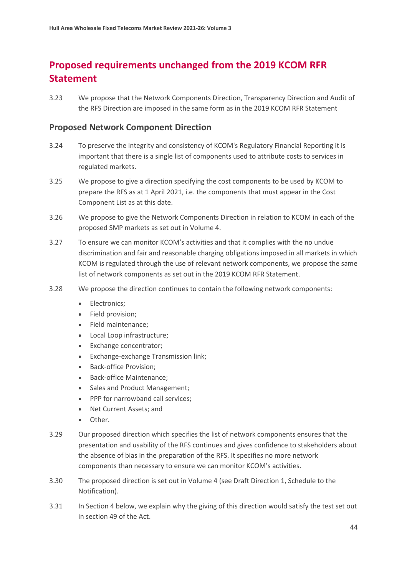# **Proposed requirements unchanged from the 2019 KCOM RFR Statement**

3.23 We propose that the Network Components Direction, Transparency Direction and Audit of the RFS Direction are imposed in the same form as in the 2019 KCOM RFR Statement

#### **Proposed Network Component Direction**

- 3.24 To preserve the integrity and consistency of KCOM's Regulatory Financial Reporting it is important that there is a single list of components used to attribute costs to services in regulated markets.
- 3.25 We propose to give a direction specifying the cost components to be used by KCOM to prepare the RFS as at 1 April 2021, i.e. the components that must appear in the Cost Component List as at this date.
- 3.26 We propose to give the Network Components Direction in relation to KCOM in each of the proposed SMP markets as set out in Volume 4.
- 3.27 To ensure we can monitor KCOM's activities and that it complies with the no undue discrimination and fair and reasonable charging obligations imposed in all markets in which KCOM is regulated through the use of relevant network components, we propose the same list of network components as set out in the 2019 KCOM RFR Statement.
- 3.28 We propose the direction continues to contain the following network components:
	- Electronics;
	- Field provision;
	- Field maintenance;
	- Local Loop infrastructure;
	- Exchange concentrator;
	- Exchange-exchange Transmission link;
	- Back-office Provision;
	- Back-office Maintenance;
	- Sales and Product Management;
	- PPP for narrowband call services;
	- Net Current Assets; and
	- Other.
- 3.29 Our proposed direction which specifies the list of network components ensures that the presentation and usability of the RFS continues and gives confidence to stakeholders about the absence of bias in the preparation of the RFS. It specifies no more network components than necessary to ensure we can monitor KCOM's activities.
- 3.30 The proposed direction is set out in Volume 4 (see Draft Direction 1, Schedule to the Notification).
- 3.31 In Section 4 below, we explain why the giving of this direction would satisfy the test set out in section 49 of the Act.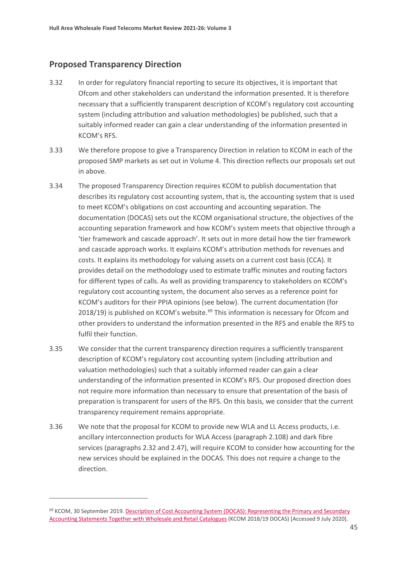## **Proposed Transparency Direction**

- 3.32 In order for regulatory financial reporting to secure its objectives, it is important that Ofcom and other stakeholders can understand the information presented. It is therefore necessary that a sufficiently transparent description of KCOM's regulatory cost accounting system (including attribution and valuation methodologies) be published, such that a suitably informed reader can gain a clear understanding of the information presented in KCOM's RFS.
- 3.33 We therefore propose to give a Transparency Direction in relation to KCOM in each of the proposed SMP markets as set out in Volume 4. This direction reflects our proposals set out in above.
- 3.34 The proposed Transparency Direction requires KCOM to publish documentation that describes its regulatory cost accounting system, that is, the accounting system that is used to meet KCOM's obligations on cost accounting and accounting separation. The documentation (DOCAS) sets out the KCOM organisational structure, the objectives of the accounting separation framework and how KCOM's system meets that objective through a 'tier framework and cascade approach'. It sets out in more detail how the tier framework and cascade approach works. It explains KCOM's attribution methods for revenues and costs. It explains its methodology for valuing assets on a current cost basis (CCA). It provides detail on the methodology used to estimate traffic minutes and routing factors for different types of calls. As well as providing transparency to stakeholders on KCOM's regulatory cost accounting system, the document also serves as a reference point for KCOM's auditors for their PPIA opinions (see below). The current documentation (for 2018/19) is published on KCOM's website.<sup>[69](#page-45-0)</sup> This information is necessary for Ofcom and other providers to understand the information presented in the RFS and enable the RFS to fulfil their function.
- 3.35 We consider that the current transparency direction requires a sufficiently transparent description of KCOM's regulatory cost accounting system (including attribution and valuation methodologies) such that a suitably informed reader can gain a clear understanding of the information presented in KCOM's RFS. Our proposed direction does not require more information than necessary to ensure that presentation of the basis of preparation is transparent for users of the RFS. On this basis, we consider that the current transparency requirement remains appropriate.
- 3.36 We note that the proposal for KCOM to provide new WLA and LL Access products, i.e. ancillary interconnection products for WLA Access (paragraph 2.108) and dark fibre services (paragraphs 2.32 and 2.47), will require KCOM to consider how accounting for the new services should be explained in the DOCAS. This does not require a change to the direction.

<span id="page-45-0"></span><sup>69</sup> KCOM, 30 September 2019[. Description of Cost Accounting System \(DOCAS\):](https://www.kcomgroupltd.com/media/1492/description-of-cost-accounting-system-2018_19.pdf) Representing the Primary and Secondary [Accounting Statements Together with Wholesale and Retail Catalogues](https://www.kcomgroupltd.com/media/1492/description-of-cost-accounting-system-2018_19.pdf) (KCOM 2018/19 DOCAS) [Accessed 9 July 2020].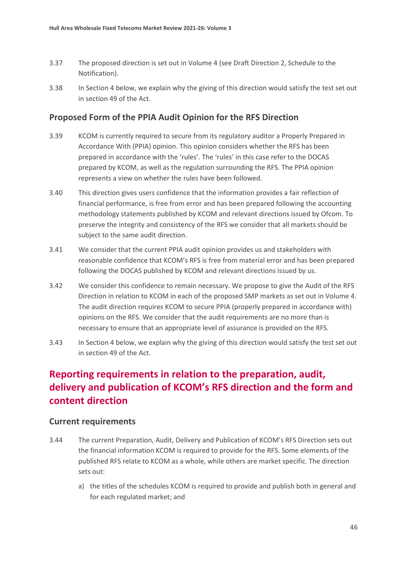- 3.37 The proposed direction is set out in Volume 4 (see Draft Direction 2, Schedule to the Notification).
- 3.38 In Section 4 below, we explain why the giving of this direction would satisfy the test set out in section 49 of the Act.

#### **Proposed Form of the PPIA Audit Opinion for the RFS Direction**

- 3.39 KCOM is currently required to secure from its regulatory auditor a Properly Prepared in Accordance With (PPIA) opinion. This opinion considers whether the RFS has been prepared in accordance with the 'rules'. The 'rules' in this case refer to the DOCAS prepared by KCOM, as well as the regulation surrounding the RFS. The PPIA opinion represents a view on whether the rules have been followed.
- 3.40 This direction gives users confidence that the information provides a fair reflection of financial performance, is free from error and has been prepared following the accounting methodology statements published by KCOM and relevant directions issued by Ofcom. To preserve the integrity and consistency of the RFS we consider that all markets should be subject to the same audit direction.
- 3.41 We consider that the current PPIA audit opinion provides us and stakeholders with reasonable confidence that KCOM's RFS is free from material error and has been prepared following the DOCAS published by KCOM and relevant directions issued by us.
- 3.42 We consider this confidence to remain necessary. We propose to give the Audit of the RFS Direction in relation to KCOM in each of the proposed SMP markets as set out in Volume 4. The audit direction requires KCOM to secure PPIA (properly prepared in accordance with) opinions on the RFS. We consider that the audit requirements are no more than is necessary to ensure that an appropriate level of assurance is provided on the RFS.
- 3.43 In Section 4 below, we explain why the giving of this direction would satisfy the test set out in section 49 of the Act.

# **Reporting requirements in relation to the preparation, audit, delivery and publication of KCOM's RFS direction and the form and content direction**

#### **Current requirements**

- 3.44 The current Preparation, Audit, Delivery and Publication of KCOM's RFS Direction sets out the financial information KCOM is required to provide for the RFS. Some elements of the published RFS relate to KCOM as a whole, while others are market specific. The direction sets out:
	- a) the titles of the schedules KCOM is required to provide and publish both in general and for each regulated market; and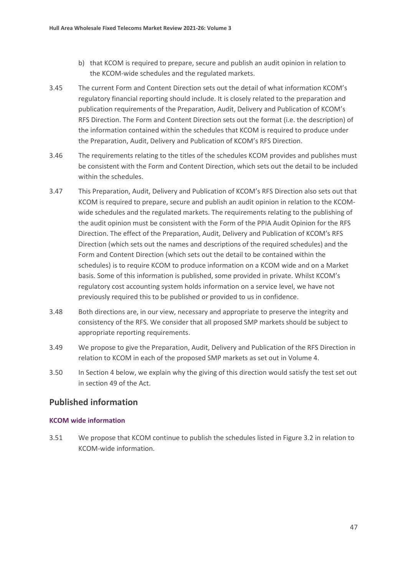- b) that KCOM is required to prepare, secure and publish an audit opinion in relation to the KCOM-wide schedules and the regulated markets.
- 3.45 The current Form and Content Direction sets out the detail of what information KCOM's regulatory financial reporting should include. It is closely related to the preparation and publication requirements of the Preparation, Audit, Delivery and Publication of KCOM's RFS Direction. The Form and Content Direction sets out the format (i.e. the description) of the information contained within the schedules that KCOM is required to produce under the Preparation, Audit, Delivery and Publication of KCOM's RFS Direction.
- 3.46 The requirements relating to the titles of the schedules KCOM provides and publishes must be consistent with the Form and Content Direction, which sets out the detail to be included within the schedules.
- 3.47 This Preparation, Audit, Delivery and Publication of KCOM's RFS Direction also sets out that KCOM is required to prepare, secure and publish an audit opinion in relation to the KCOMwide schedules and the regulated markets. The requirements relating to the publishing of the audit opinion must be consistent with the Form of the PPIA Audit Opinion for the RFS Direction. The effect of the Preparation, Audit, Delivery and Publication of KCOM's RFS Direction (which sets out the names and descriptions of the required schedules) and the Form and Content Direction (which sets out the detail to be contained within the schedules) is to require KCOM to produce information on a KCOM wide and on a Market basis. Some of this information is published, some provided in private. Whilst KCOM's regulatory cost accounting system holds information on a service level, we have not previously required this to be published or provided to us in confidence.
- 3.48 Both directions are, in our view, necessary and appropriate to preserve the integrity and consistency of the RFS. We consider that all proposed SMP markets should be subject to appropriate reporting requirements.
- 3.49 We propose to give the Preparation, Audit, Delivery and Publication of the RFS Direction in relation to KCOM in each of the proposed SMP markets as set out in Volume 4.
- 3.50 In Section 4 below, we explain why the giving of this direction would satisfy the test set out in section 49 of the Act.

## **Published information**

#### **KCOM wide information**

3.51 We propose that KCOM continue to publish the schedules listed in Figure 3.2 in relation to KCOM-wide information.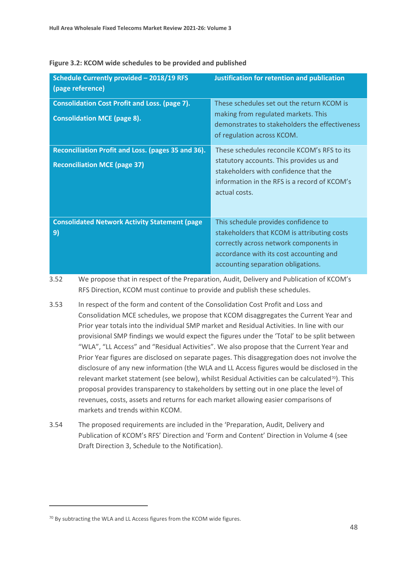| Schedule Currently provided - 2018/19 RFS<br>(page reference)                              | <b>Justification for retention and publication</b>                                                                                                                                                             |
|--------------------------------------------------------------------------------------------|----------------------------------------------------------------------------------------------------------------------------------------------------------------------------------------------------------------|
| <b>Consolidation Cost Profit and Loss. (page 7).</b><br><b>Consolidation MCE (page 8).</b> | These schedules set out the return KCOM is<br>making from regulated markets. This<br>demonstrates to stakeholders the effectiveness<br>of regulation across KCOM.                                              |
| Reconciliation Profit and Loss. (pages 35 and 36).<br><b>Reconciliation MCE (page 37)</b>  | These schedules reconcile KCOM's RFS to its<br>statutory accounts. This provides us and<br>stakeholders with confidence that the<br>information in the RFS is a record of KCOM's<br>actual costs.              |
| <b>Consolidated Network Activity Statement (page)</b><br>9)                                | This schedule provides confidence to<br>stakeholders that KCOM is attributing costs<br>correctly across network components in<br>accordance with its cost accounting and<br>accounting separation obligations. |

#### **Figure 3.2: KCOM wide schedules to be provided and published**

- 3.52 We propose that in respect of the Preparation, Audit, Delivery and Publication of KCOM's RFS Direction, KCOM must continue to provide and publish these schedules.
- 3.53 In respect of the form and content of the Consolidation Cost Profit and Loss and Consolidation MCE schedules, we propose that KCOM disaggregates the Current Year and Prior year totals into the individual SMP market and Residual Activities. In line with our provisional SMP findings we would expect the figures under the 'Total' to be split between "WLA", "LL Access" and "Residual Activities". We also propose that the Current Year and Prior Year figures are disclosed on separate pages. This disaggregation does not involve the disclosure of any new information (the WLA and LL Access figures would be disclosed in the relevant market statement (see below), whilst Residual Activities can be calculated<sup>70</sup>). This proposal provides transparency to stakeholders by setting out in one place the level of revenues, costs, assets and returns for each market allowing easier comparisons of markets and trends within KCOM.
- 3.54 The proposed requirements are included in the 'Preparation, Audit, Delivery and Publication of KCOM's RFS' Direction and 'Form and Content' Direction in Volume 4 (see Draft Direction 3, Schedule to the Notification).

<span id="page-48-0"></span><sup>70</sup> By subtracting the WLA and LL Access figures from the KCOM wide figures.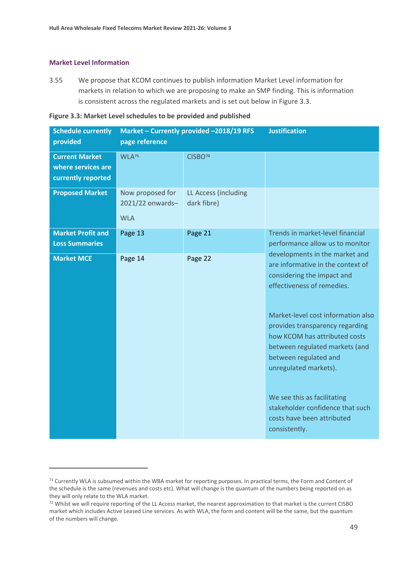#### **Market Level Information**

3.55 We propose that KCOM continues to publish information Market Level information for markets in relation to which we are proposing to make an SMP finding. This is information is consistent across the regulated markets and is set out below in Figure 3.3.

| <b>Schedule currently</b><br>provided                             | page reference                                     | Market - Currently provided -2018/19 RFS | <b>Justification</b>                                                                                                                                                                                                                                                                                                                                                                                                                            |
|-------------------------------------------------------------------|----------------------------------------------------|------------------------------------------|-------------------------------------------------------------------------------------------------------------------------------------------------------------------------------------------------------------------------------------------------------------------------------------------------------------------------------------------------------------------------------------------------------------------------------------------------|
| <b>Current Market</b><br>where services are<br>currently reported | WLA <sub>71</sub>                                  | CISBO <sub>72</sub>                      |                                                                                                                                                                                                                                                                                                                                                                                                                                                 |
| <b>Proposed Market</b>                                            | Now proposed for<br>2021/22 onwards-<br><b>WLA</b> | LL Access (including<br>dark fibre)      |                                                                                                                                                                                                                                                                                                                                                                                                                                                 |
| <b>Market Profit and</b><br><b>Loss Summaries</b>                 | Page 13                                            | Page 21                                  | Trends in market-level financial<br>performance allow us to monitor                                                                                                                                                                                                                                                                                                                                                                             |
| <b>Market MCE</b>                                                 | Page 14                                            | Page 22                                  | developments in the market and<br>are informative in the context of<br>considering the impact and<br>effectiveness of remedies.<br>Market-level cost information also<br>provides transparency regarding<br>how KCOM has attributed costs<br>between regulated markets (and<br>between regulated and<br>unregulated markets).<br>We see this as facilitating<br>stakeholder confidence that such<br>costs have been attributed<br>consistently. |

<span id="page-49-0"></span> $71$  Currently WLA is subsumed within the WBA market for reporting purposes. In practical terms, the Form and Content of the schedule is the same (revenues and costs etc). What will change is the quantum of the numbers being reported on as they will only relate to the WLA market.

<span id="page-49-1"></span><sup>&</sup>lt;sup>72</sup> Whilst we will require reporting of the LL Access market, the nearest approximation to that market is the current CISBO market which includes Active Leased Line services. As with WLA, the form and content will be the same, but the quantum of the numbers will change.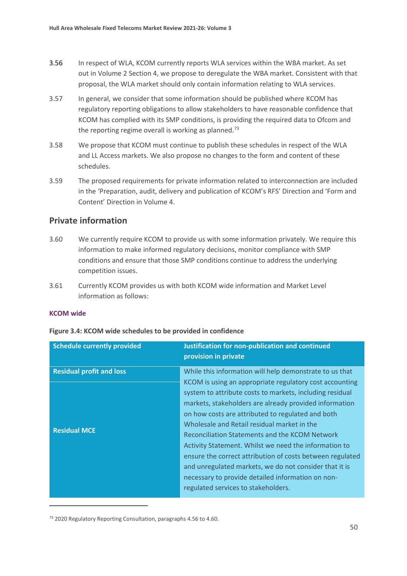- 3.56 In respect of WLA, KCOM currently reports WLA services within the WBA market. As set out in Volume 2 Section 4, we propose to deregulate the WBA market. Consistent with that proposal, the WLA market should only contain information relating to WLA services.
- 3.57 In general, we consider that some information should be published where KCOM has regulatory reporting obligations to allow stakeholders to have reasonable confidence that KCOM has complied with its SMP conditions, is providing the required data to Ofcom and the reporting regime overall is working as planned. $73$
- 3.58 We propose that KCOM must continue to publish these schedules in respect of the WLA and LL Access markets. We also propose no changes to the form and content of these schedules.
- 3.59 The proposed requirements for private information related to interconnection are included in the 'Preparation, audit, delivery and publication of KCOM's RFS' Direction and 'Form and Content' Direction in Volume 4.

#### **Private information**

- 3.60 We currently require KCOM to provide us with some information privately. We require this information to make informed regulatory decisions, monitor compliance with SMP conditions and ensure that those SMP conditions continue to address the underlying competition issues.
- 3.61 Currently KCOM provides us with both KCOM wide information and Market Level information as follows:

#### **KCOM wide**

| <b>Schedule currently provided</b> | Justification for non-publication and continued<br>provision in private                                                                                                                                                                                                                                                                                                                                                                                                                                                                                                                                         |
|------------------------------------|-----------------------------------------------------------------------------------------------------------------------------------------------------------------------------------------------------------------------------------------------------------------------------------------------------------------------------------------------------------------------------------------------------------------------------------------------------------------------------------------------------------------------------------------------------------------------------------------------------------------|
| <b>Residual profit and loss</b>    | While this information will help demonstrate to us that                                                                                                                                                                                                                                                                                                                                                                                                                                                                                                                                                         |
| <b>Residual MCE</b>                | KCOM is using an appropriate regulatory cost accounting<br>system to attribute costs to markets, including residual<br>markets, stakeholders are already provided information<br>on how costs are attributed to regulated and both<br>Wholesale and Retail residual market in the<br>Reconciliation Statements and the KCOM Network<br>Activity Statement. Whilst we need the information to<br>ensure the correct attribution of costs between regulated<br>and unregulated markets, we do not consider that it is<br>necessary to provide detailed information on non-<br>regulated services to stakeholders. |

#### **Figure 3.4: KCOM wide schedules to be provided in confidence**

<span id="page-50-0"></span><sup>73</sup> 2020 Regulatory Reporting Consultation, paragraphs 4.56 to 4.60.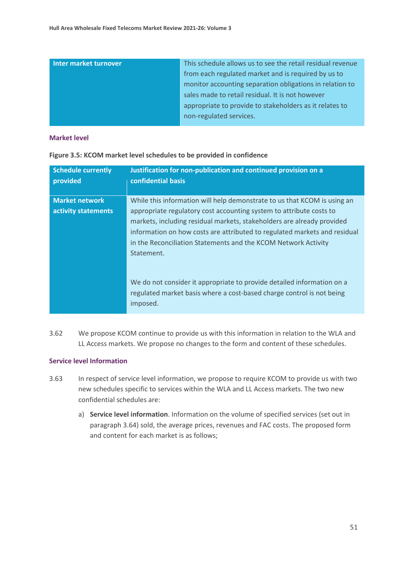| Inter market turnover | This schedule allows us to see the retail residual revenue |
|-----------------------|------------------------------------------------------------|
|                       | from each regulated market and is required by us to        |
|                       | monitor accounting separation obligations in relation to   |
|                       | sales made to retail residual. It is not however           |
|                       | appropriate to provide to stakeholders as it relates to    |
|                       | non-regulated services.                                    |
|                       |                                                            |

#### **Market level**

| <b>Schedule currently</b><br>provided | Justification for non-publication and continued provision on a<br>confidential basis                                                                                                                                                                                                                       |
|---------------------------------------|------------------------------------------------------------------------------------------------------------------------------------------------------------------------------------------------------------------------------------------------------------------------------------------------------------|
| <b>Market network</b>                 | While this information will help demonstrate to us that KCOM is using an                                                                                                                                                                                                                                   |
| activity statements                   | appropriate regulatory cost accounting system to attribute costs to<br>markets, including residual markets, stakeholders are already provided<br>information on how costs are attributed to regulated markets and residual<br>in the Reconciliation Statements and the KCOM Network Activity<br>Statement. |
|                                       | We do not consider it appropriate to provide detailed information on a<br>regulated market basis where a cost-based charge control is not being<br>imposed.                                                                                                                                                |

**Figure 3.5: KCOM market level schedules to be provided in confidence**

3.62 We propose KCOM continue to provide us with this information in relation to the WLA and LL Access markets. We propose no changes to the form and content of these schedules.

#### **Service level Information**

- 3.63 In respect of service level information, we propose to require KCOM to provide us with two new schedules specific to services within the WLA and LL Access markets. The two new confidential schedules are:
	- a) **Service level information**. Information on the volume of specified services (set out in paragraph 3.64) sold, the average prices, revenues and FAC costs. The proposed form and content for each market is as follows;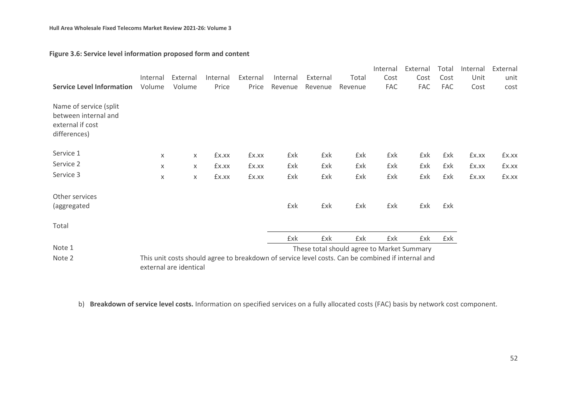| <b>Service Level Information</b>                                                   | Internal<br>Volume | External<br>Volume     | Internal<br>Price | External<br>Price | Internal<br>Revenue | External<br>Revenue                                                                               | Total<br>Revenue | Internal<br>Cost<br>FAC | External<br>Cost<br>FAC | Total<br>Cost<br>FAC | Internal<br>Unit<br>Cost | External<br>unit<br>cost |
|------------------------------------------------------------------------------------|--------------------|------------------------|-------------------|-------------------|---------------------|---------------------------------------------------------------------------------------------------|------------------|-------------------------|-------------------------|----------------------|--------------------------|--------------------------|
| Name of service (split<br>between internal and<br>external if cost<br>differences) |                    |                        |                   |                   |                     |                                                                                                   |                  |                         |                         |                      |                          |                          |
| Service 1                                                                          | X                  | $\times$               | £x.xx             | £x.xx             | £xk                 | £xk                                                                                               | £xk              | £xk                     | £xk                     | £xk                  | £x.xx                    | £x.xx                    |
| Service 2                                                                          | X                  | X                      | £x.xx             | £x.xx             | £xk                 | £xk                                                                                               | £xk              | £xk                     | £xk                     | £xk                  | £x.xx                    | £x.xx                    |
| Service 3                                                                          | X                  | X                      | £x.xx             | £x.xx             | £xk                 | £xk                                                                                               | £xk              | £xk                     | £xk                     | £xk                  | £x.xx                    | £x.xx                    |
| Other services<br>(aggregated                                                      |                    |                        |                   |                   | £xk                 | £xk                                                                                               | £xk              | £xk                     | £xk                     | £xk                  |                          |                          |
| Total                                                                              |                    |                        |                   |                   |                     |                                                                                                   |                  |                         |                         |                      |                          |                          |
|                                                                                    |                    |                        |                   |                   | £xk                 | £xk                                                                                               | £xk              | £xk                     | £xk                     | £xk                  |                          |                          |
| Note 1                                                                             |                    |                        |                   |                   |                     | These total should agree to Market Summary                                                        |                  |                         |                         |                      |                          |                          |
| Note 2                                                                             |                    | external are identical |                   |                   |                     | This unit costs should agree to breakdown of service level costs. Can be combined if internal and |                  |                         |                         |                      |                          |                          |

#### **Figure 3.6: Service level information proposed form and content**

b) **Breakdown of service level costs.** Information on specified services on a fully allocated costs (FAC) basis by network cost component.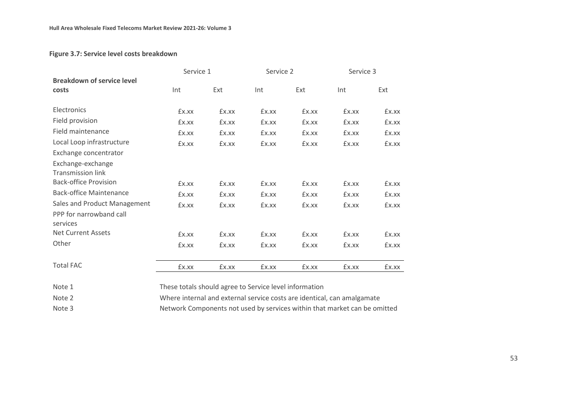#### **Figure 3.7: Service level costs breakdown**

|                                               |                                                        | Service 1 |       | Service 2 |       | Service 3 |  |  |
|-----------------------------------------------|--------------------------------------------------------|-----------|-------|-----------|-------|-----------|--|--|
| <b>Breakdown of service level</b><br>costs    | Int                                                    | Ext       | Int   | Ext       | Int   | Ext       |  |  |
| Electronics                                   | £x.xx                                                  | £x.xx     | £x.xx | £x.xx     | £x.xx | £x.xx     |  |  |
| Field provision                               | £x.xx                                                  | £x.xx     | £x.xx | £x.xx     | £x.xx | £x.xx     |  |  |
| Field maintenance                             | £x.xx                                                  | £x.xx     | £x.xx | £x.xx     | £x.xx | £x.xx     |  |  |
| Local Loop infrastructure                     | £x.xx                                                  | £x.xx     | £x.xx | £x.xx     | £x.xx | £x.xx     |  |  |
| Exchange concentrator                         |                                                        |           |       |           |       |           |  |  |
| Exchange-exchange<br><b>Transmission link</b> |                                                        |           |       |           |       |           |  |  |
| <b>Back-office Provision</b>                  | £x.xx                                                  | £x.xx     | £x.xx | £x.xx     | £x.xx | £x.xx     |  |  |
| <b>Back-office Maintenance</b>                | £x.xx                                                  | £x.xx     | £x.xx | £x.xx     | £x.xx | £x.xx     |  |  |
| Sales and Product Management                  | £x.xx                                                  | £x.xx     | £x.xx | £x.xx     | £x.xx | £x.xx     |  |  |
| PPP for narrowband call<br>services           |                                                        |           |       |           |       |           |  |  |
| <b>Net Current Assets</b>                     | £x.xx                                                  | £x.xx     | £x.xx | £x.xx     | £x.xx | £x.xx     |  |  |
| Other                                         | £x.xx                                                  | £x.xx     | £x.xx | £x.xx     | £x.xx | £x.xx     |  |  |
| <b>Total FAC</b>                              | £x.xx                                                  | £x.xx     | £x.xx | £x.xx     | £x.xx | £x.xx     |  |  |
| Note 1                                        | These totals should agree to Service level information |           |       |           |       |           |  |  |

Note 2 Where internal and external service costs are identical, can amalgamate

Note 3 Network Components not used by services within that market can be omitted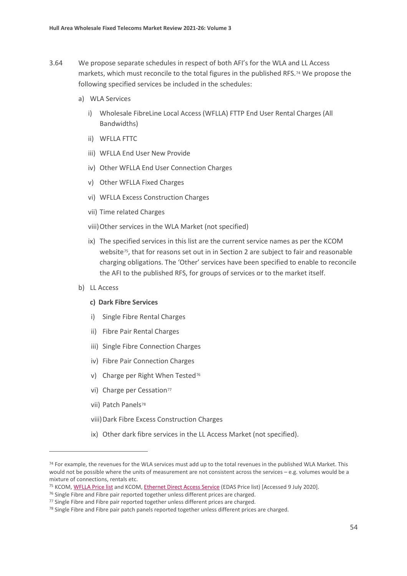- 3.64 We propose separate schedules in respect of both AFI's for the WLA and LL Access markets, which must reconcile to the total figures in the published RFS.[74](#page-54-0) We propose the following specified services be included in the schedules:
	- a) WLA Services
		- i) Wholesale FibreLine Local Access (WFLLA) FTTP End User Rental Charges (All Bandwidths)
		- ii) WFLLA FTTC
		- iii) WFLLA End User New Provide
		- iv) Other WFLLA End User Connection Charges
		- v) Other WFLLA Fixed Charges
		- vi) WFLLA Excess Construction Charges
		- vii) Time related Charges
		- viii)Other services in the WLA Market (not specified)
		- ix) The specified services in this list are the current service names as per the KCOM website<sup>75</sup>, that for reasons set out in in Section 2 are subject to fair and reasonable charging obligations. The 'Other' services have been specified to enable to reconcile the AFI to the published RFS, for groups of services or to the market itself.
	- b) LL Access

#### **c) Dark Fibre Services**

- i) Single Fibre Rental Charges
- ii) Fibre Pair Rental Charges
- iii) Single Fibre Connection Charges
- iv) Fibre Pair Connection Charges
- v) Charge per Right When Tested<sup>[76](#page-54-2)</sup>
- vi) Charge per Cessation<sup>[77](#page-54-3)</sup>
- vii) Patch Panels<sup>[78](#page-54-4)</sup>
- viii)Dark Fibre Excess Construction Charges
- ix) Other dark fibre services in the LL Access Market (not specified).

<span id="page-54-0"></span><sup>&</sup>lt;sup>74</sup> For example, the revenues for the WLA services must add up to the total revenues in the published WLA Market. This would not be possible where the units of measurement are not consistent across the services – e.g. volumes would be a mixture of connections, rentals etc.

<span id="page-54-1"></span><sup>&</sup>lt;sup>75</sup> KCOM[, WFLLA Price list](http://pricing.kcomhome.com/media/1573/p13-s27_wholesale_fibreline_local_access.pdf) and KCOM[, Ethernet Direct Access Service](http://pricing.kcomhome.com/media/1475/p13-s10_ethernet_direct_access_service.pdf) (EDAS Price list) [Accessed 9 July 2020].

<span id="page-54-2"></span><sup>&</sup>lt;sup>76</sup> Single Fibre and Fibre pair reported together unless different prices are charged.

<span id="page-54-3"></span><sup>77</sup> Single Fibre and Fibre pair reported together unless different prices are charged.

<span id="page-54-4"></span><sup>78</sup> Single Fibre and Fibre pair patch panels reported together unless different prices are charged.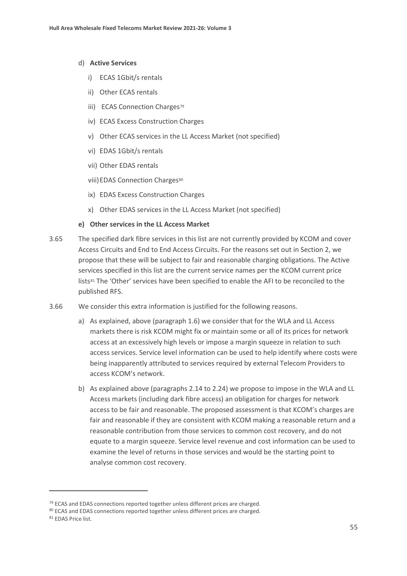#### d) **Active Services**

- i) ECAS 1Gbit/s rentals
- ii) Other ECAS rentals
- iii) ECAS Connection Charges<sup>[79](#page-55-0)</sup>
- iv) ECAS Excess Construction Charges
- v) Other ECAS services in the LL Access Market (not specified)
- vi) EDAS 1Gbit/s rentals
- vii) Other EDAS rentals
- viii) EDAS Connection Charges<sup>[80](#page-55-1)</sup>
- ix) EDAS Excess Construction Charges
- x) Other EDAS services in the LL Access Market (not specified)

#### **e) Other services in the LL Access Market**

- 3.65 The specified dark fibre services in this list are not currently provided by KCOM and cover Access Circuits and End to End Access Circuits. For the reasons set out in Section 2, we propose that these will be subject to fair and reasonable charging obligations. The Active services specified in this list are the current service names per the KCOM current price lists[81](#page-55-2) The 'Other' services have been specified to enable the AFI to be reconciled to the published RFS.
- 3.66 We consider this extra information is justified for the following reasons.
	- a) As explained, above (paragraph 1.6) we consider that for the WLA and LL Access markets there is risk KCOM might fix or maintain some or all of its prices for network access at an excessively high levels or impose a margin squeeze in relation to such access services. Service level information can be used to help identify where costs were being inapparently attributed to services required by external Telecom Providers to access KCOM's network.
	- b) As explained above (paragraphs 2.14 to 2.24) we propose to impose in the WLA and LL Access markets (including dark fibre access) an obligation for charges for network access to be fair and reasonable. The proposed assessment is that KCOM's charges are fair and reasonable if they are consistent with KCOM making a reasonable return and a reasonable contribution from those services to common cost recovery, and do not equate to a margin squeeze. Service level revenue and cost information can be used to examine the level of returns in those services and would be the starting point to analyse common cost recovery.

<span id="page-55-0"></span><sup>&</sup>lt;sup>79</sup> ECAS and EDAS connections reported together unless different prices are charged.

<span id="page-55-1"></span><sup>80</sup> ECAS and EDAS connections reported together unless different prices are charged.

<span id="page-55-2"></span><sup>81</sup> EDAS Price list.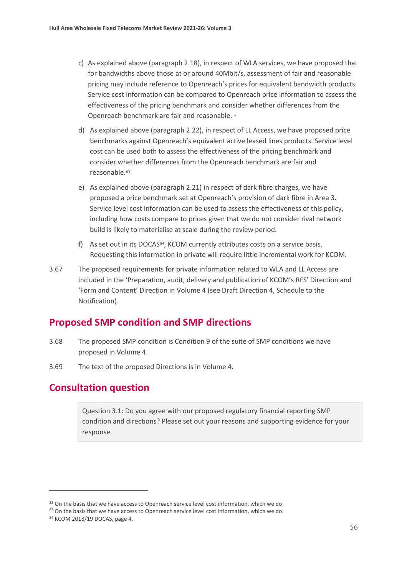- c) As explained above (paragraph 2.18), in respect of WLA services, we have proposed that for bandwidths above those at or around 40Mbit/s, assessment of fair and reasonable pricing may include reference to Openreach's prices for equivalent bandwidth products. Service cost information can be compared to Openreach price information to assess the effectiveness of the pricing benchmark and consider whether differences from the Openreach benchmark are fair and reasonable.[82](#page-56-0)
- d) As explained above (paragraph 2.22), in respect of LL Access, we have proposed price benchmarks against Openreach's equivalent active leased lines products. Service level cost can be used both to assess the effectiveness of the pricing benchmark and consider whether differences from the Openreach benchmark are fair and reasonable.<sup>[83](#page-56-1)</sup>
- e) As explained above (paragraph 2.21) in respect of dark fibre charges, we have proposed a price benchmark set at Openreach's provision of dark fibre in Area 3. Service level cost information can be used to assess the effectiveness of this policy, including how costs compare to prices given that we do not consider rival network build is likely to materialise at scale during the review period.
- f) As set out in its DOCAS<sup>[84](#page-56-2)</sup>, KCOM currently attributes costs on a service basis. Requesting this information in private will require little incremental work for KCOM.
- 3.67 The proposed requirements for private information related to WLA and LL Access are included in the 'Preparation, audit, delivery and publication of KCOM's RFS' Direction and 'Form and Content' Direction in Volume 4 (see Draft Direction 4, Schedule to the Notification).

# **Proposed SMP condition and SMP directions**

- 3.68 The proposed SMP condition is Condition 9 of the suite of SMP conditions we have proposed in Volume 4.
- 3.69 The text of the proposed Directions is in Volume 4.

# **Consultation question**

Question 3.1: Do you agree with our proposed regulatory financial reporting SMP condition and directions? Please set out your reasons and supporting evidence for your response.

<span id="page-56-0"></span><sup>82</sup> On the basis that we have access to Openreach service level cost information, which we do.

<span id="page-56-1"></span><sup>83</sup> On the basis that we have access to Openreach service level cost information, which we do.

<span id="page-56-2"></span><sup>84</sup> KCOM 2018/19 DOCAS, page 4.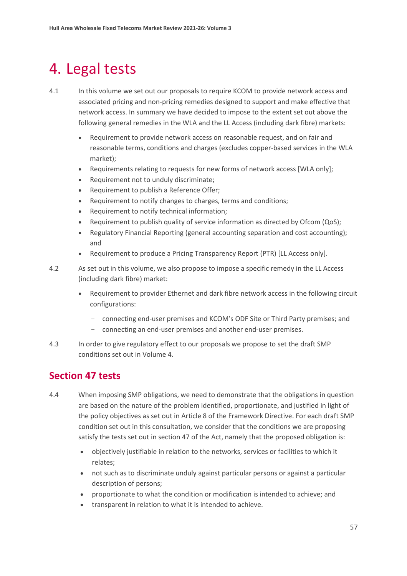# <span id="page-57-0"></span>4. Legal tests

- 4.1 In this volume we set out our proposals to require KCOM to provide network access and associated pricing and non-pricing remedies designed to support and make effective that network access. In summary we have decided to impose to the extent set out above the following general remedies in the WLA and the LL Access (including dark fibre) markets:
	- Requirement to provide network access on reasonable request, and on fair and reasonable terms, conditions and charges (excludes copper-based services in the WLA market);
	- Requirements relating to requests for new forms of network access [WLA only];
	- Requirement not to unduly discriminate;
	- Requirement to publish a Reference Offer;
	- Requirement to notify changes to charges, terms and conditions;
	- Requirement to notify technical information;
	- Requirement to publish quality of service information as directed by Ofcom (QoS);
	- Regulatory Financial Reporting (general accounting separation and cost accounting); and
	- Requirement to produce a Pricing Transparency Report (PTR) [LL Access only].
- 4.2 As set out in this volume, we also propose to impose a specific remedy in the LL Access (including dark fibre) market:
	- Requirement to provider Ethernet and dark fibre network access in the following circuit configurations:
		- connecting end-user premises and KCOM's ODF Site or Third Party premises; and
		- connecting an end-user premises and another end-user premises.
- 4.3 In order to give regulatory effect to our proposals we propose to set the draft SMP conditions set out in Volume 4.

# **Section 47 tests**

- 4.4 When imposing SMP obligations, we need to demonstrate that the obligations in question are based on the nature of the problem identified, proportionate, and justified in light of the policy objectives as set out in Article 8 of the Framework Directive. For each draft SMP condition set out in this consultation, we consider that the conditions we are proposing satisfy the tests set out in section 47 of the Act, namely that the proposed obligation is:
	- objectively justifiable in relation to the networks, services or facilities to which it relates;
	- not such as to discriminate unduly against particular persons or against a particular description of persons;
	- proportionate to what the condition or modification is intended to achieve; and
	- transparent in relation to what it is intended to achieve.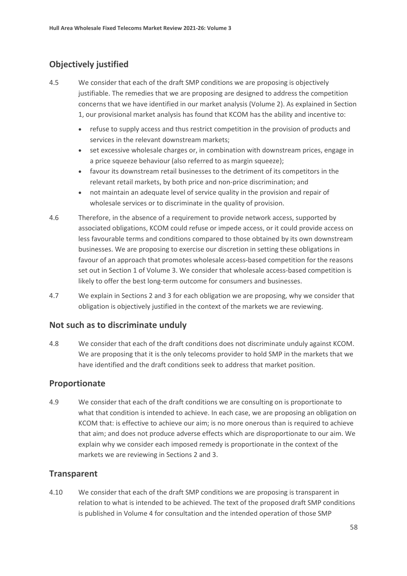## **Objectively justified**

- 4.5 We consider that each of the draft SMP conditions we are proposing is objectively justifiable. The remedies that we are proposing are designed to address the competition concerns that we have identified in our market analysis (Volume 2). As explained in Section 1, our provisional market analysis has found that KCOM has the ability and incentive to:
	- refuse to supply access and thus restrict competition in the provision of products and services in the relevant downstream markets;
	- set excessive wholesale charges or, in combination with downstream prices, engage in a price squeeze behaviour (also referred to as margin squeeze);
	- favour its downstream retail businesses to the detriment of its competitors in the relevant retail markets, by both price and non-price discrimination; and
	- not maintain an adequate level of service quality in the provision and repair of wholesale services or to discriminate in the quality of provision.
- 4.6 Therefore, in the absence of a requirement to provide network access, supported by associated obligations, KCOM could refuse or impede access, or it could provide access on less favourable terms and conditions compared to those obtained by its own downstream businesses. We are proposing to exercise our discretion in setting these obligations in favour of an approach that promotes wholesale access-based competition for the reasons set out in Section 1 of Volume 3. We consider that wholesale access-based competition is likely to offer the best long-term outcome for consumers and businesses.
- 4.7 We explain in Sections 2 and 3 for each obligation we are proposing, why we consider that obligation is objectively justified in the context of the markets we are reviewing.

#### **Not such as to discriminate unduly**

4.8 We consider that each of the draft conditions does not discriminate unduly against KCOM. We are proposing that it is the only telecoms provider to hold SMP in the markets that we have identified and the draft conditions seek to address that market position.

#### **Proportionate**

4.9 We consider that each of the draft conditions we are consulting on is proportionate to what that condition is intended to achieve. In each case, we are proposing an obligation on KCOM that: is effective to achieve our aim; is no more onerous than is required to achieve that aim; and does not produce adverse effects which are disproportionate to our aim. We explain why we consider each imposed remedy is proportionate in the context of the markets we are reviewing in Sections 2 and 3.

#### **Transparent**

4.10 We consider that each of the draft SMP conditions we are proposing is transparent in relation to what is intended to be achieved. The text of the proposed draft SMP conditions is published in Volume 4 for consultation and the intended operation of those SMP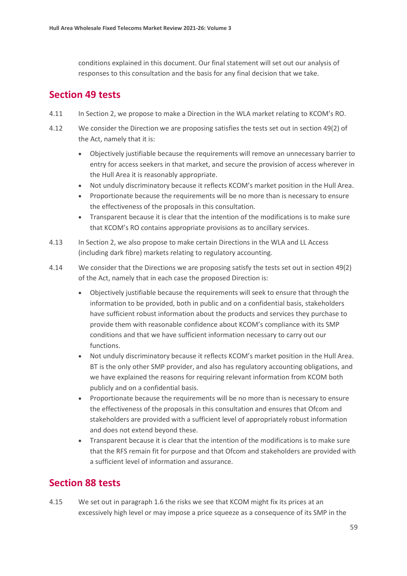conditions explained in this document. Our final statement will set out our analysis of responses to this consultation and the basis for any final decision that we take.

# **Section 49 tests**

- 4.11 In Section 2, we propose to make a Direction in the WLA market relating to KCOM's RO.
- 4.12 We consider the Direction we are proposing satisfies the tests set out in section 49(2) of the Act, namely that it is:
	- Objectively justifiable because the requirements will remove an unnecessary barrier to entry for access seekers in that market, and secure the provision of access wherever in the Hull Area it is reasonably appropriate.
	- Not unduly discriminatory because it reflects KCOM's market position in the Hull Area.
	- Proportionate because the requirements will be no more than is necessary to ensure the effectiveness of the proposals in this consultation.
	- Transparent because it is clear that the intention of the modifications is to make sure that KCOM's RO contains appropriate provisions as to ancillary services.
- 4.13 In Section 2, we also propose to make certain Directions in the WLA and LL Access (including dark fibre) markets relating to regulatory accounting.
- 4.14 We consider that the Directions we are proposing satisfy the tests set out in section 49(2) of the Act, namely that in each case the proposed Direction is:
	- Objectively justifiable because the requirements will seek to ensure that through the information to be provided, both in public and on a confidential basis, stakeholders have sufficient robust information about the products and services they purchase to provide them with reasonable confidence about KCOM's compliance with its SMP conditions and that we have sufficient information necessary to carry out our functions.
	- Not unduly discriminatory because it reflects KCOM's market position in the Hull Area. BT is the only other SMP provider, and also has regulatory accounting obligations, and we have explained the reasons for requiring relevant information from KCOM both publicly and on a confidential basis.
	- Proportionate because the requirements will be no more than is necessary to ensure the effectiveness of the proposals in this consultation and ensures that Ofcom and stakeholders are provided with a sufficient level of appropriately robust information and does not extend beyond these.
	- Transparent because it is clear that the intention of the modifications is to make sure that the RFS remain fit for purpose and that Ofcom and stakeholders are provided with a sufficient level of information and assurance.

# **Section 88 tests**

4.15 We set out in paragraph 1.6 the risks we see that KCOM might fix its prices at an excessively high level or may impose a price squeeze as a consequence of its SMP in the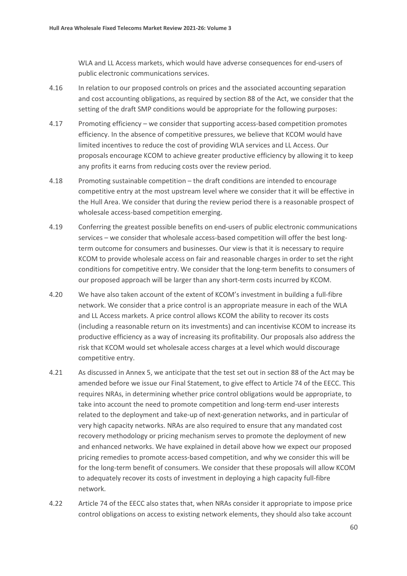WLA and LL Access markets, which would have adverse consequences for end-users of public electronic communications services.

- 4.16 In relation to our proposed controls on prices and the associated accounting separation and cost accounting obligations, as required by section 88 of the Act, we consider that the setting of the draft SMP conditions would be appropriate for the following purposes:
- 4.17 Promoting efficiency we consider that supporting access-based competition promotes efficiency. In the absence of competitive pressures, we believe that KCOM would have limited incentives to reduce the cost of providing WLA services and LL Access. Our proposals encourage KCOM to achieve greater productive efficiency by allowing it to keep any profits it earns from reducing costs over the review period.
- 4.18 Promoting sustainable competition the draft conditions are intended to encourage competitive entry at the most upstream level where we consider that it will be effective in the Hull Area. We consider that during the review period there is a reasonable prospect of wholesale access-based competition emerging.
- 4.19 Conferring the greatest possible benefits on end-users of public electronic communications services – we consider that wholesale access-based competition will offer the best longterm outcome for consumers and businesses. Our view is that it is necessary to require KCOM to provide wholesale access on fair and reasonable charges in order to set the right conditions for competitive entry. We consider that the long-term benefits to consumers of our proposed approach will be larger than any short-term costs incurred by KCOM.
- 4.20 We have also taken account of the extent of KCOM's investment in building a full-fibre network. We consider that a price control is an appropriate measure in each of the WLA and LL Access markets. A price control allows KCOM the ability to recover its costs (including a reasonable return on its investments) and can incentivise KCOM to increase its productive efficiency as a way of increasing its profitability. Our proposals also address the risk that KCOM would set wholesale access charges at a level which would discourage competitive entry.
- 4.21 As discussed in Annex 5, we anticipate that the test set out in section 88 of the Act may be amended before we issue our Final Statement, to give effect to Article 74 of the EECC. This requires NRAs, in determining whether price control obligations would be appropriate, to take into account the need to promote competition and long-term end-user interests related to the deployment and take-up of next-generation networks, and in particular of very high capacity networks. NRAs are also required to ensure that any mandated cost recovery methodology or pricing mechanism serves to promote the deployment of new and enhanced networks. We have explained in detail above how we expect our proposed pricing remedies to promote access-based competition, and why we consider this will be for the long-term benefit of consumers. We consider that these proposals will allow KCOM to adequately recover its costs of investment in deploying a high capacity full-fibre network.
- 4.22 Article 74 of the EECC also states that, when NRAs consider it appropriate to impose price control obligations on access to existing network elements, they should also take account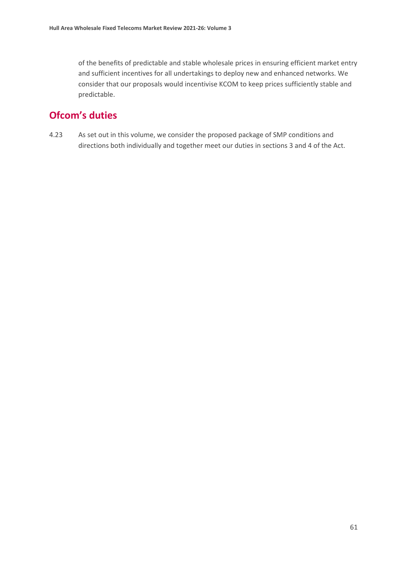of the benefits of predictable and stable wholesale prices in ensuring efficient market entry and sufficient incentives for all undertakings to deploy new and enhanced networks. We consider that our proposals would incentivise KCOM to keep prices sufficiently stable and predictable.

# **Ofcom's duties**

4.23 As set out in this volume, we consider the proposed package of SMP conditions and directions both individually and together meet our duties in sections 3 and 4 of the Act.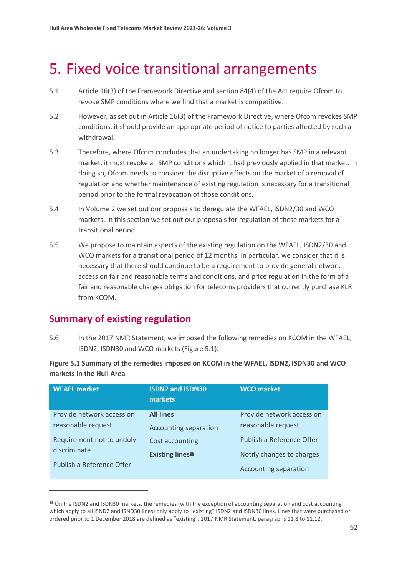# <span id="page-62-0"></span>5. Fixed voice transitional arrangements

- 5.1 Article 16(3) of the Framework Directive and section 84(4) of the Act require Ofcom to revoke SMP conditions where we find that a market is competitive.
- 5.2 However, as set out in Article 16(3) of the Framework Directive, where Ofcom revokes SMP conditions, it should provide an appropriate period of notice to parties affected by such a withdrawal.
- 5.3 Therefore, where Ofcom concludes that an undertaking no longer has SMP in a relevant market, it must revoke all SMP conditions which it had previously applied in that market. In doing so, Ofcom needs to consider the disruptive effects on the market of a removal of regulation and whether maintenance of existing regulation is necessary for a transitional period prior to the formal revocation of those conditions.
- 5.4 In Volume 2 we set out our proposals to deregulate the WFAEL, ISDN2/30 and WCO markets. In this section we set out our proposals for regulation of these markets for a transitional period.
- 5.5 We propose to maintain aspects of the existing regulation on the WFAEL, ISDN2/30 and WCO markets for a transitional period of 12 months. In particular, we consider that it is necessary that there should continue to be a requirement to provide general network access on fair and reasonable terms and conditions, and price regulation in the form of a fair and reasonable charges obligation for telecoms providers that currently purchase KLR from KCOM.

# **Summary of existing regulation**

5.6 In the 2017 NMR Statement, we imposed the following remedies on KCOM in the WFAEL, ISDN2, ISDN30 and WCO markets (Figure 5.1).

**Figure 5.1 Summary of the remedies imposed on KCOM in the WFAEL, ISDN2, ISDN30 and WCO markets in the Hull Area** 

| <b>WFAEL market</b>       | <b>ISDN2 and ISDN30</b><br><b>markets</b> | <b>WCO</b> market         |
|---------------------------|-------------------------------------------|---------------------------|
| Provide network access on | <b>All lines</b>                          | Provide network access on |
| reasonable request        | Accounting separation                     | reasonable request        |
| Requirement not to unduly | Cost accounting                           | Publish a Reference Offer |
| discriminate              | <b>Existing lines</b> <sup>85</sup>       | Notify changes to charges |
| Publish a Reference Offer |                                           | Accounting separation     |

<span id="page-62-1"></span><sup>85</sup> On the ISDN2 and ISDN30 markets, the remedies (with the exception of accounting separation and cost accounting which apply to all ISND2 and ISND30 lines) only apply to "existing" ISDN2 and ISDN30 lines. Lines that were purchased or ordered prior to 1 December 2018 are defined as "existing". 2017 NMR Statement, paragraphs 11.8 to 11.12.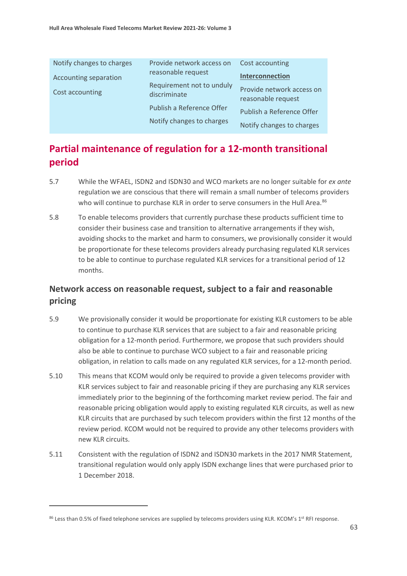| Notify changes to charges | Provide network access on<br>Cost accounting |                                                 |  |  |
|---------------------------|----------------------------------------------|-------------------------------------------------|--|--|
| Accounting separation     | reasonable request                           | Interconnection                                 |  |  |
| Cost accounting           | Requirement not to unduly<br>discriminate    | Provide network access on<br>reasonable request |  |  |
|                           | Publish a Reference Offer                    | Publish a Reference Offer                       |  |  |
|                           | Notify changes to charges                    | Notify changes to charges                       |  |  |

# **Partial maintenance of regulation for a 12-month transitional period**

- 5.7 While the WFAEL, ISDN2 and ISDN30 and WCO markets are no longer suitable for *ex ante* regulation we are conscious that there will remain a small number of telecoms providers who will continue to purchase KLR in order to serve consumers in the Hull Area.<sup>86</sup>
- 5.8 To enable telecoms providers that currently purchase these products sufficient time to consider their business case and transition to alternative arrangements if they wish, avoiding shocks to the market and harm to consumers, we provisionally consider it would be proportionate for these telecoms providers already purchasing regulated KLR services to be able to continue to purchase regulated KLR services for a transitional period of 12 months.

## **Network access on reasonable request, subject to a fair and reasonable pricing**

- 5.9 We provisionally consider it would be proportionate for existing KLR customers to be able to continue to purchase KLR services that are subject to a fair and reasonable pricing obligation for a 12-month period. Furthermore, we propose that such providers should also be able to continue to purchase WCO subject to a fair and reasonable pricing obligation, in relation to calls made on any regulated KLR services, for a 12-month period.
- 5.10 This means that KCOM would only be required to provide a given telecoms provider with KLR services subject to fair and reasonable pricing if they are purchasing any KLR services immediately prior to the beginning of the forthcoming market review period. The fair and reasonable pricing obligation would apply to existing regulated KLR circuits, as well as new KLR circuits that are purchased by such telecom providers within the first 12 months of the review period. KCOM would not be required to provide any other telecoms providers with new KLR circuits.
- 5.11 Consistent with the regulation of ISDN2 and ISDN30 markets in the 2017 NMR Statement, transitional regulation would only apply ISDN exchange lines that were purchased prior to 1 December 2018.

<span id="page-63-0"></span><sup>86</sup> Less than 0.5% of fixed telephone services are supplied by telecoms providers using KLR. KCOM's 1<sup>st</sup> RFI response.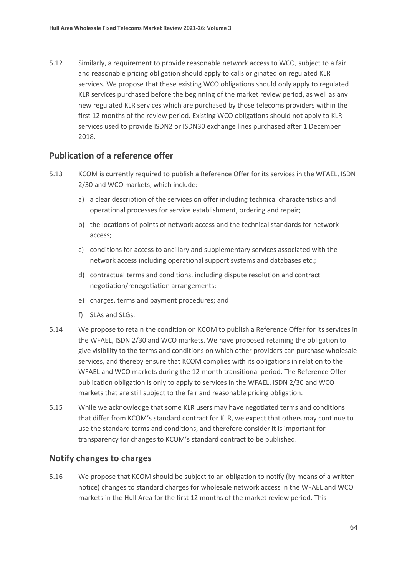5.12 Similarly, a requirement to provide reasonable network access to WCO, subject to a fair and reasonable pricing obligation should apply to calls originated on regulated KLR services. We propose that these existing WCO obligations should only apply to regulated KLR services purchased before the beginning of the market review period, as well as any new regulated KLR services which are purchased by those telecoms providers within the first 12 months of the review period. Existing WCO obligations should not apply to KLR services used to provide ISDN2 or ISDN30 exchange lines purchased after 1 December 2018.

#### **Publication of a reference offer**

- 5.13 KCOM is currently required to publish a Reference Offer for its services in the WFAEL, ISDN 2/30 and WCO markets, which include:
	- a) a clear description of the services on offer including technical characteristics and operational processes for service establishment, ordering and repair;
	- b) the locations of points of network access and the technical standards for network access;
	- c) conditions for access to ancillary and supplementary services associated with the network access including operational support systems and databases etc.;
	- d) contractual terms and conditions, including dispute resolution and contract negotiation/renegotiation arrangements;
	- e) charges, terms and payment procedures; and
	- f) SLAs and SLGs.
- 5.14 We propose to retain the condition on KCOM to publish a Reference Offer for its services in the WFAEL, ISDN 2/30 and WCO markets. We have proposed retaining the obligation to give visibility to the terms and conditions on which other providers can purchase wholesale services, and thereby ensure that KCOM complies with its obligations in relation to the WFAEL and WCO markets during the 12-month transitional period. The Reference Offer publication obligation is only to apply to services in the WFAEL, ISDN 2/30 and WCO markets that are still subject to the fair and reasonable pricing obligation.
- 5.15 While we acknowledge that some KLR users may have negotiated terms and conditions that differ from KCOM's standard contract for KLR, we expect that others may continue to use the standard terms and conditions, and therefore consider it is important for transparency for changes to KCOM's standard contract to be published.

#### **Notify changes to charges**

5.16 We propose that KCOM should be subject to an obligation to notify (by means of a written notice) changes to standard charges for wholesale network access in the WFAEL and WCO markets in the Hull Area for the first 12 months of the market review period. This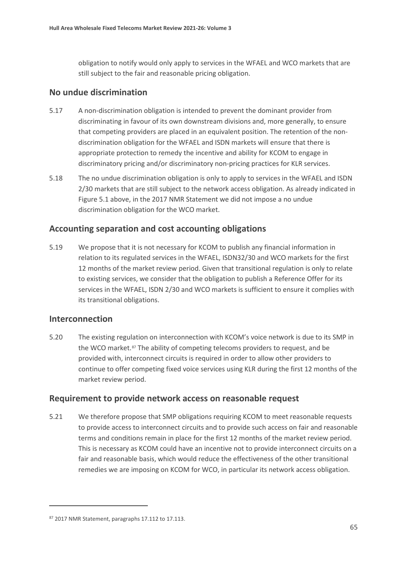obligation to notify would only apply to services in the WFAEL and WCO markets that are still subject to the fair and reasonable pricing obligation.

#### **No undue discrimination**

- 5.17 A non-discrimination obligation is intended to prevent the dominant provider from discriminating in favour of its own downstream divisions and, more generally, to ensure that competing providers are placed in an equivalent position. The retention of the nondiscrimination obligation for the WFAEL and ISDN markets will ensure that there is appropriate protection to remedy the incentive and ability for KCOM to engage in discriminatory pricing and/or discriminatory non-pricing practices for KLR services.
- 5.18 The no undue discrimination obligation is only to apply to services in the WFAEL and ISDN 2/30 markets that are still subject to the network access obligation. As already indicated in Figure 5.1 above, in the 2017 NMR Statement we did not impose a no undue discrimination obligation for the WCO market.

#### **Accounting separation and cost accounting obligations**

5.19 We propose that it is not necessary for KCOM to publish any financial information in relation to its regulated services in the WFAEL, ISDN32/30 and WCO markets for the first 12 months of the market review period. Given that transitional regulation is only to relate to existing services, we consider that the obligation to publish a Reference Offer for its services in the WFAEL, ISDN 2/30 and WCO markets is sufficient to ensure it complies with its transitional obligations.

#### **Interconnection**

5.20 The existing regulation on interconnection with KCOM's voice network is due to its SMP in the WCO market.<sup>[87](#page-65-0)</sup> The ability of competing telecoms providers to request, and be provided with, interconnect circuits is required in order to allow other providers to continue to offer competing fixed voice services using KLR during the first 12 months of the market review period.

#### **Requirement to provide network access on reasonable request**

5.21 We therefore propose that SMP obligations requiring KCOM to meet reasonable requests to provide access to interconnect circuits and to provide such access on fair and reasonable terms and conditions remain in place for the first 12 months of the market review period. This is necessary as KCOM could have an incentive not to provide interconnect circuits on a fair and reasonable basis, which would reduce the effectiveness of the other transitional remedies we are imposing on KCOM for WCO, in particular its network access obligation.

<span id="page-65-0"></span><sup>87 2017</sup> NMR Statement, paragraphs 17.112 to 17.113.